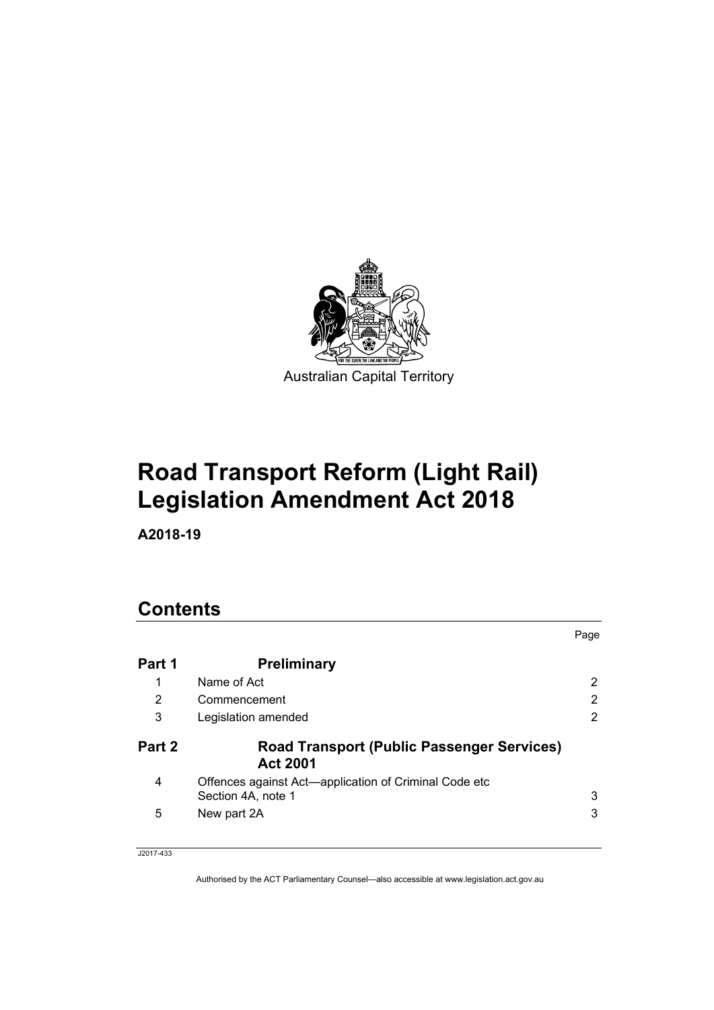

# **Road Transport Reform (Light Rail) Legislation Amendment Act 2018**

**A2018-19** 

# **Contents**

|        |                                                                             | Page           |
|--------|-----------------------------------------------------------------------------|----------------|
| Part 1 | <b>Preliminary</b>                                                          |                |
| 1      | Name of Act                                                                 | 2              |
| 2      | Commencement                                                                | 2              |
| 3      | Legislation amended                                                         | $\overline{2}$ |
|        |                                                                             |                |
| Part 2 | <b>Road Transport (Public Passenger Services)</b><br><b>Act 2001</b>        |                |
| 4      | Offences against Act-application of Criminal Code etc<br>Section 4A, note 1 | 3              |

#### J2017-433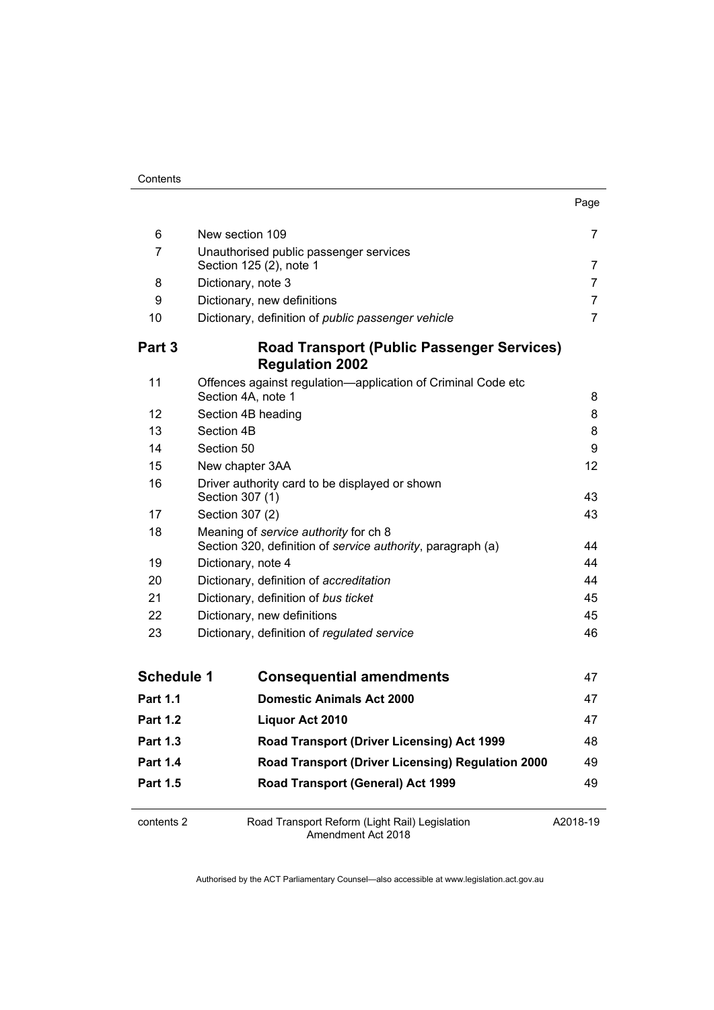| . .<br>×<br>×<br>۰. |
|---------------------|
|---------------------|

| 6                 | New section 109                                                                                      | 7        |
|-------------------|------------------------------------------------------------------------------------------------------|----------|
| 7                 | Unauthorised public passenger services<br>Section 125 (2), note 1                                    | 7        |
| 8                 | Dictionary, note 3                                                                                   | 7        |
| 9                 | Dictionary, new definitions                                                                          | 7        |
| 10                | Dictionary, definition of public passenger vehicle                                                   | 7        |
| Part 3            | <b>Road Transport (Public Passenger Services)</b><br><b>Regulation 2002</b>                          |          |
| 11                | Offences against regulation-application of Criminal Code etc<br>Section 4A, note 1                   | 8        |
| 12                | Section 4B heading                                                                                   | 8        |
| 13                | Section 4B                                                                                           | 8        |
| 14                | Section 50                                                                                           | 9        |
| 15                | New chapter 3AA                                                                                      | 12       |
| 16                | Driver authority card to be displayed or shown<br>Section 307 (1)                                    | 43       |
| 17                | Section 307 (2)                                                                                      | 43       |
| 18                | Meaning of service authority for ch 8<br>Section 320, definition of service authority, paragraph (a) | 44       |
| 19                | Dictionary, note 4                                                                                   | 44       |
| 20                | Dictionary, definition of accreditation                                                              | 44       |
| 21                | Dictionary, definition of bus ticket                                                                 | 45       |
| 22                | Dictionary, new definitions                                                                          | 45       |
| 23                | Dictionary, definition of regulated service                                                          | 46       |
| <b>Schedule 1</b> | <b>Consequential amendments</b>                                                                      | 47       |
| <b>Part 1.1</b>   | <b>Domestic Animals Act 2000</b>                                                                     | 47       |
| <b>Part 1.2</b>   | Liquor Act 2010                                                                                      | 47       |
| <b>Part 1.3</b>   | Road Transport (Driver Licensing) Act 1999                                                           | 48       |
|                   |                                                                                                      | 49       |
| <b>Part 1.4</b>   | Road Transport (Driver Licensing) Regulation 2000                                                    |          |
| <b>Part 1.5</b>   | Road Transport (General) Act 1999                                                                    | 49       |
| contents 2        | Road Transport Reform (Light Rail) Legislation<br>Amendment Act 2018                                 | A2018-19 |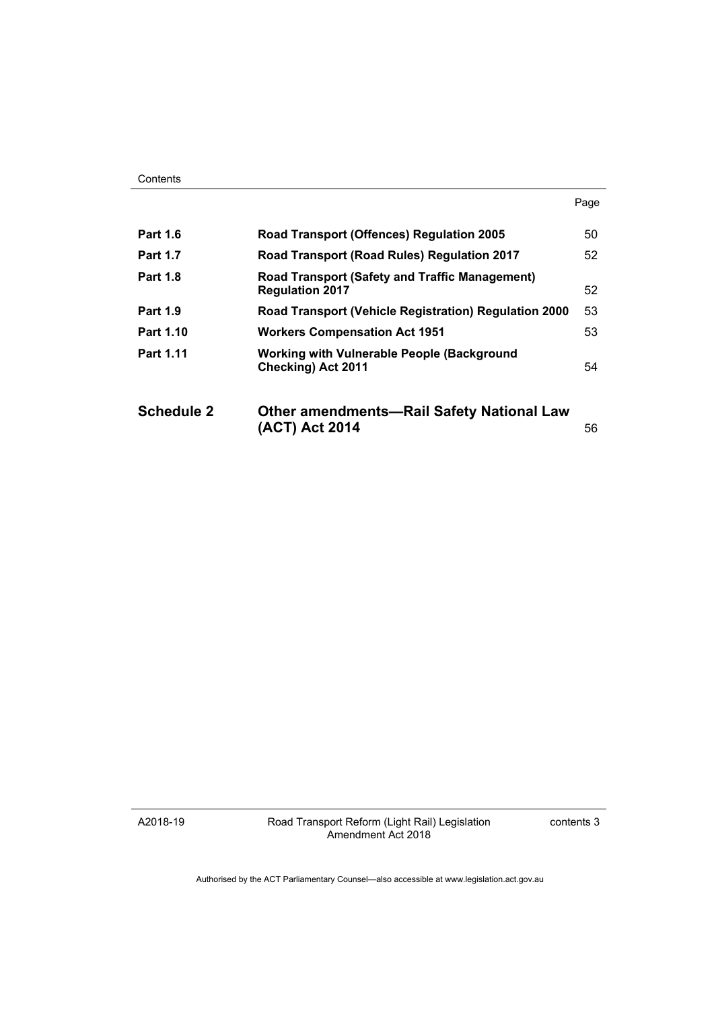| <b>Part 1.6</b>   | Road Transport (Offences) Regulation 2005                                       | 50 |
|-------------------|---------------------------------------------------------------------------------|----|
| <b>Part 1.7</b>   | Road Transport (Road Rules) Regulation 2017                                     | 52 |
| <b>Part 1.8</b>   | <b>Road Transport (Safety and Traffic Management)</b><br><b>Regulation 2017</b> | 52 |
| <b>Part 1.9</b>   | Road Transport (Vehicle Registration) Regulation 2000                           | 53 |
| Part 1.10         | <b>Workers Compensation Act 1951</b>                                            | 53 |
| Part 1.11         | <b>Working with Vulnerable People (Background</b><br><b>Checking) Act 2011</b>  | 54 |
| <b>Schedule 2</b> | <b>Other amendments—Rail Safety National Law</b><br>(ACT) Act 2014              | 56 |

A2018-19

Road Transport Reform (Light Rail) Legislation Amendment Act 2018

contents 3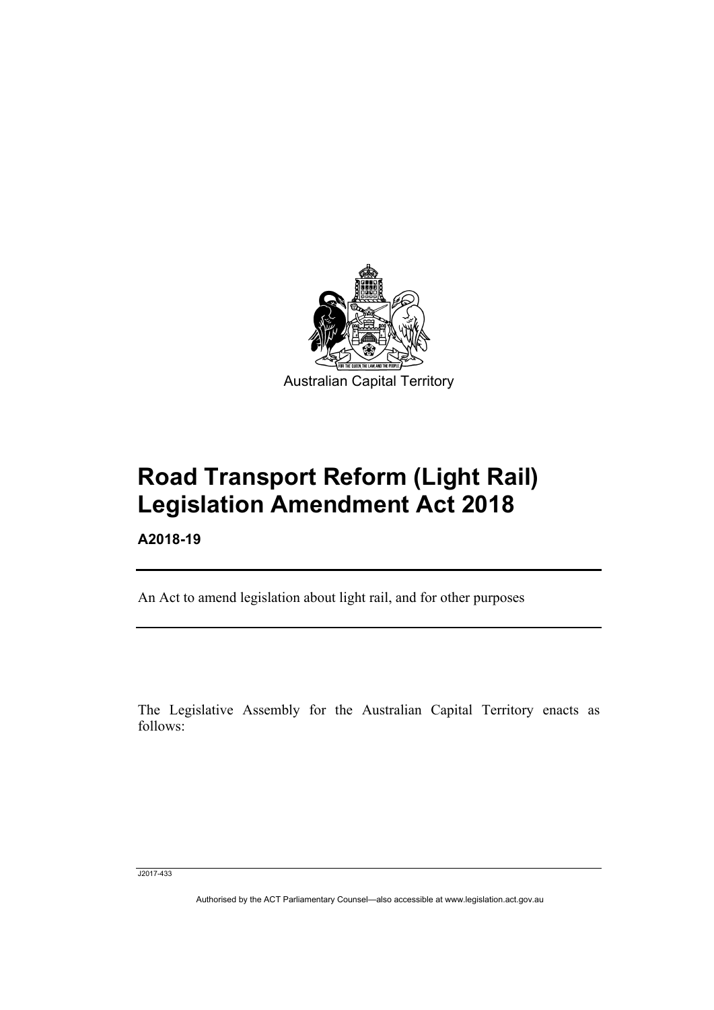

# **Road Transport Reform (Light Rail) Legislation Amendment Act 2018**

**A2018-19** 

l

An Act to amend legislation about light rail, and for other purposes

The Legislative Assembly for the Australian Capital Territory enacts as follows:

J2017-433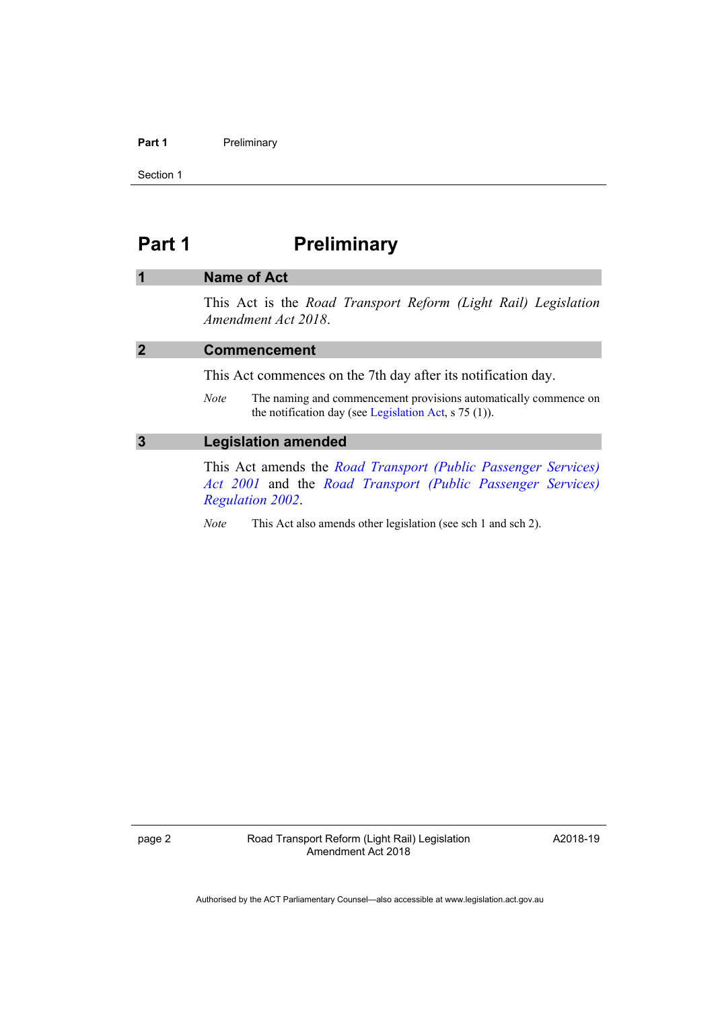#### Part 1 **Preliminary**

Section 1

## <span id="page-5-0"></span>**Part 1** Preliminary

#### <span id="page-5-1"></span>**1 Name of Act**

This Act is the *Road Transport Reform (Light Rail) Legislation Amendment Act 2018*.

<span id="page-5-3"></span><span id="page-5-2"></span>

|   | <b>Commencement</b>                                                                                                                             |
|---|-------------------------------------------------------------------------------------------------------------------------------------------------|
|   | This Act commences on the 7th day after its notification day.                                                                                   |
|   | The naming and commencement provisions automatically commence on<br><i>Note</i><br>the notification day (see Legislation Act, $\sigma$ 75 (1)). |
| 3 | <b>Legislation amended</b>                                                                                                                      |
|   | This $A_{i+1}$ successful $A_{i}$ . $B_{i+1}$ $B_{i+1}$ and $B_{i+1}$ $B_{i+1}$ and $B_{i+1}$ and $C_{i+1}$ and $C_{i+1}$                       |

This Act amends the *[Road Transport \(Public Passenger Services\)](http://www.legislation.act.gov.au/a/2001-62)  [Act 2001](http://www.legislation.act.gov.au/a/2001-62)* and the *[Road Transport \(Public Passenger Services\)](http://www.legislation.act.gov.au/sl/2002-3)  [Regulation 2002](http://www.legislation.act.gov.au/sl/2002-3)*.

*Note* This Act also amends other legislation (see sch 1 and sch 2).

page 2 Road Transport Reform (Light Rail) Legislation Amendment Act 2018

A2018-19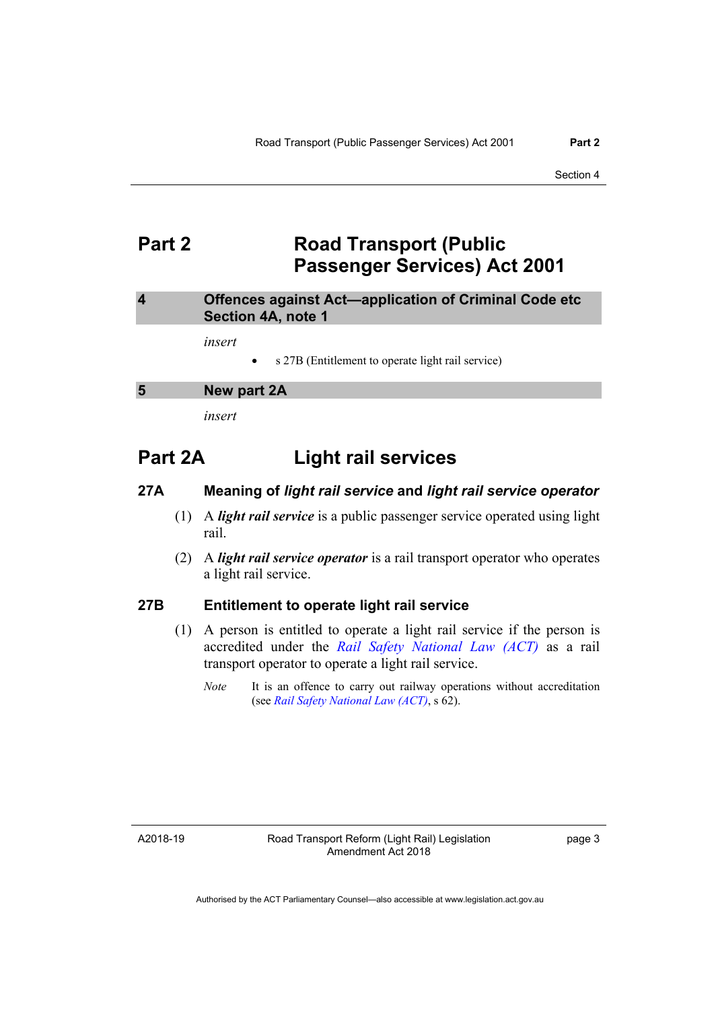## <span id="page-6-0"></span>**Part 2 Road Transport (Public Passenger Services) Act 2001**

#### <span id="page-6-1"></span>**4 Offences against Act—application of Criminal Code etc Section 4A, note 1**

*insert* 

s 27B (Entitlement to operate light rail service)

<span id="page-6-2"></span>

*insert* 

## **Part 2A Light rail services**

#### **27A Meaning of** *light rail service* **and** *light rail service operator*

- (1) A *light rail service* is a public passenger service operated using light rail.
- (2) A *light rail service operator* is a rail transport operator who operates a light rail service.

#### **27B Entitlement to operate light rail service**

- (1) A person is entitled to operate a light rail service if the person is accredited under the *[Rail Safety National Law \(ACT\)](http://www.legislation.act.gov.au/a/2014-14/default.asp)* as a rail transport operator to operate a light rail service.
	- *Note* It is an offence to carry out railway operations without accreditation (see *[Rail Safety National Law \(ACT\)](http://www.legislation.act.gov.au/a/2014-14/default.asp)*, s 62).

A2018-19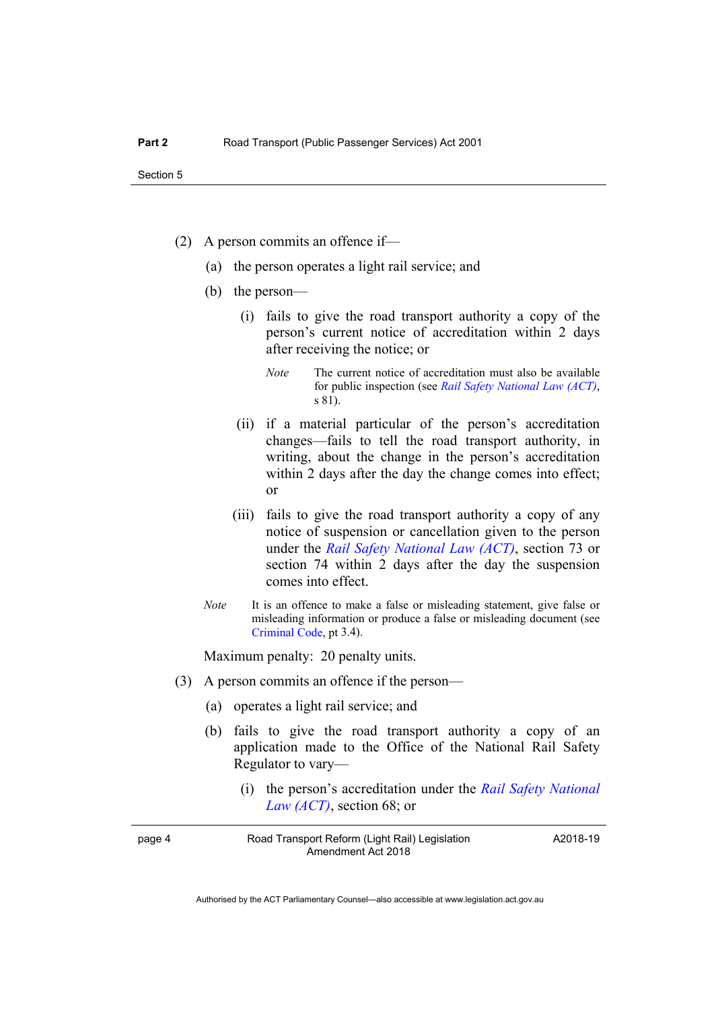- (2) A person commits an offence if—
	- (a) the person operates a light rail service; and
	- (b) the person—
		- (i) fails to give the road transport authority a copy of the person's current notice of accreditation within 2 days after receiving the notice; or
			- *Note* The current notice of accreditation must also be available for public inspection (see *[Rail Safety National Law \(ACT\)](http://www.legislation.act.gov.au/a/2014-14/default.asp)*, s 81).
		- (ii) if a material particular of the person's accreditation changes—fails to tell the road transport authority, in writing, about the change in the person's accreditation within 2 days after the day the change comes into effect; or
		- (iii) fails to give the road transport authority a copy of any notice of suspension or cancellation given to the person under the *[Rail Safety National Law \(ACT\)](http://www.legislation.act.gov.au/a/2014-14/default.asp)*, section 73 or section 74 within 2 days after the day the suspension comes into effect.
	- *Note* It is an offence to make a false or misleading statement, give false or misleading information or produce a false or misleading document (see [Criminal Code](http://www.legislation.act.gov.au/a/2002-51), pt 3.4).

Maximum penalty: 20 penalty units.

- (3) A person commits an offence if the person—
	- (a) operates a light rail service; and
	- (b) fails to give the road transport authority a copy of an application made to the Office of the National Rail Safety Regulator to vary—
		- (i) the person's accreditation under the *[Rail Safety National](http://www.legislation.act.gov.au/a/2014-14/default.asp)  [Law \(ACT\)](http://www.legislation.act.gov.au/a/2014-14/default.asp)*, section 68; or

page 4 Road Transport Reform (Light Rail) Legislation Amendment Act 2018

A2018-19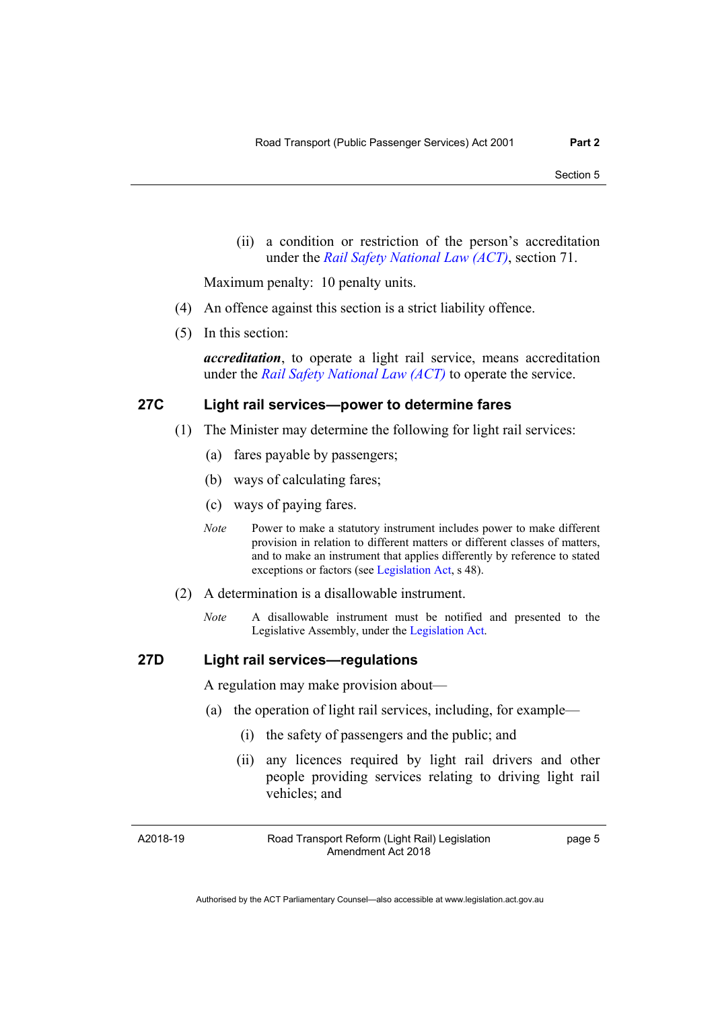(ii) a condition or restriction of the person's accreditation under the *[Rail Safety National Law \(ACT\)](http://www.legislation.act.gov.au/a/2014-14/default.asp)*, section 71.

Maximum penalty: 10 penalty units.

- (4) An offence against this section is a strict liability offence.
- (5) In this section:

*accreditation*, to operate a light rail service, means accreditation under the *[Rail Safety National Law \(ACT\)](http://www.legislation.act.gov.au/a/2014-14/default.asp)* to operate the service.

#### **27C Light rail services—power to determine fares**

- (1) The Minister may determine the following for light rail services:
	- (a) fares payable by passengers;
	- (b) ways of calculating fares;
	- (c) ways of paying fares.
	- *Note* Power to make a statutory instrument includes power to make different provision in relation to different matters or different classes of matters, and to make an instrument that applies differently by reference to stated exceptions or factors (see [Legislation Act](http://www.legislation.act.gov.au/a/2001-14), s 48).
- (2) A determination is a disallowable instrument.
	- *Note* A disallowable instrument must be notified and presented to the Legislative Assembly, under the [Legislation Act.](http://www.legislation.act.gov.au/a/2001-14)

#### **27D Light rail services—regulations**

A regulation may make provision about—

- (a) the operation of light rail services, including, for example—
	- (i) the safety of passengers and the public; and
	- (ii) any licences required by light rail drivers and other people providing services relating to driving light rail vehicles; and

A2018-19

Road Transport Reform (Light Rail) Legislation Amendment Act 2018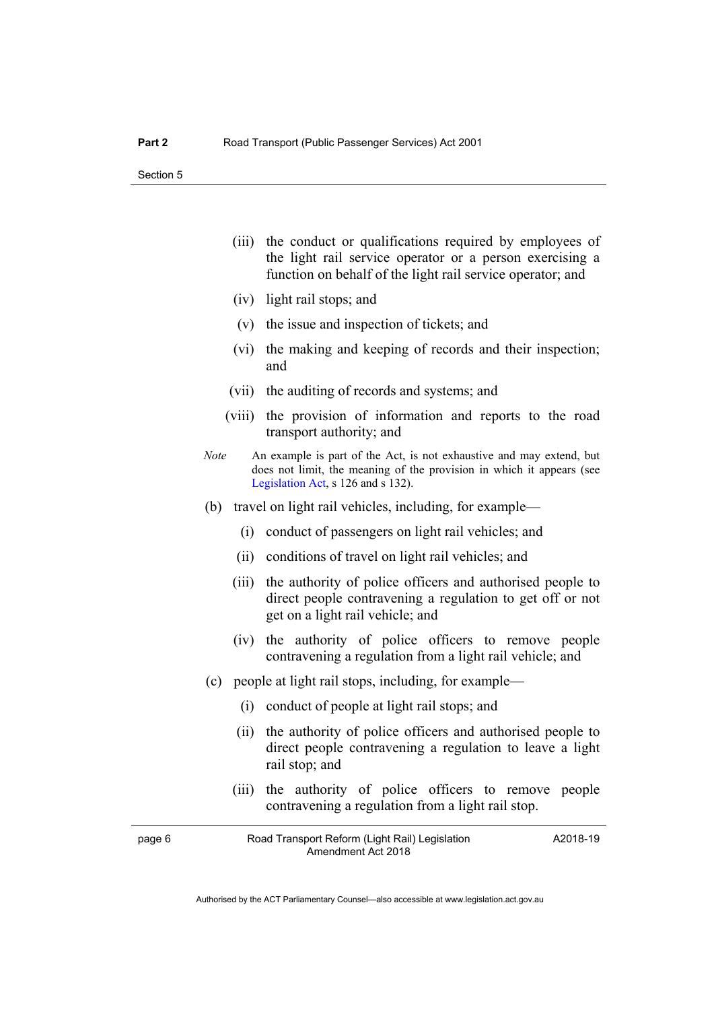- (iii) the conduct or qualifications required by employees of the light rail service operator or a person exercising a function on behalf of the light rail service operator; and
- (iv) light rail stops; and
- (v) the issue and inspection of tickets; and
- (vi) the making and keeping of records and their inspection; and
- (vii) the auditing of records and systems; and
- (viii) the provision of information and reports to the road transport authority; and
- *Note* An example is part of the Act, is not exhaustive and may extend, but does not limit, the meaning of the provision in which it appears (see [Legislation Act,](http://www.legislation.act.gov.au/a/2001-14) s 126 and s 132).
- (b) travel on light rail vehicles, including, for example—
	- (i) conduct of passengers on light rail vehicles; and
	- (ii) conditions of travel on light rail vehicles; and
	- (iii) the authority of police officers and authorised people to direct people contravening a regulation to get off or not get on a light rail vehicle; and
	- (iv) the authority of police officers to remove people contravening a regulation from a light rail vehicle; and
- (c) people at light rail stops, including, for example—
	- (i) conduct of people at light rail stops; and
	- (ii) the authority of police officers and authorised people to direct people contravening a regulation to leave a light rail stop; and
	- (iii) the authority of police officers to remove people contravening a regulation from a light rail stop.

page 6 Road Transport Reform (Light Rail) Legislation Amendment Act 2018 A2018-19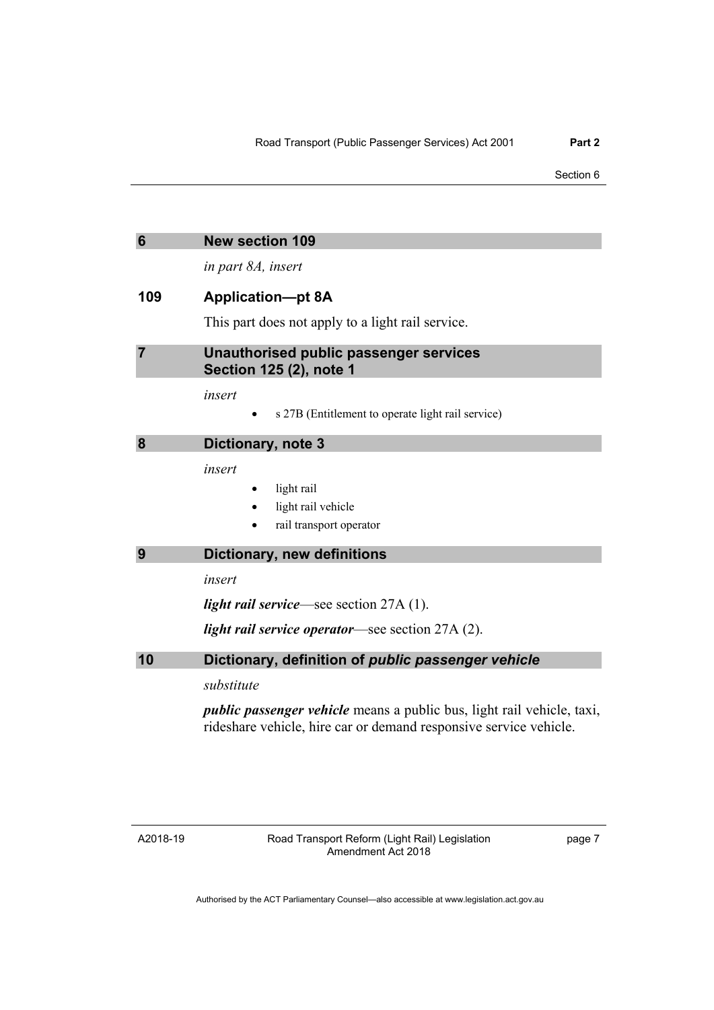<span id="page-10-2"></span><span id="page-10-1"></span><span id="page-10-0"></span>

| $6\phantom{1}$ | <b>New section 109</b>                                                   |
|----------------|--------------------------------------------------------------------------|
|                | in part 8A, insert                                                       |
| 109            | <b>Application-pt 8A</b>                                                 |
|                | This part does not apply to a light rail service.                        |
| $\overline{7}$ | Unauthorised public passenger services<br>Section 125 (2), note 1        |
|                | insert                                                                   |
|                | s 27B (Entitlement to operate light rail service)                        |
| 8              | Dictionary, note 3                                                       |
|                | insert                                                                   |
|                | light rail                                                               |
|                | light rail vehicle                                                       |
|                | rail transport operator                                                  |
| 9              | <b>Dictionary, new definitions</b>                                       |
|                | insert                                                                   |
|                | <i>light rail service</i> —see section $27A(1)$ .                        |
|                | <i>light rail service operator—see section 27A (2).</i>                  |
| 10             | Dictionary, definition of public passenger vehicle                       |
|                | substitute                                                               |
|                | <i>public passenger vehicle</i> means a public bus light rail vehicle to |

<span id="page-10-4"></span><span id="page-10-3"></span>*public passenger vehicle* means a public bus, light rail vehicle, taxi, rideshare vehicle, hire car or demand responsive service vehicle.

A2018-19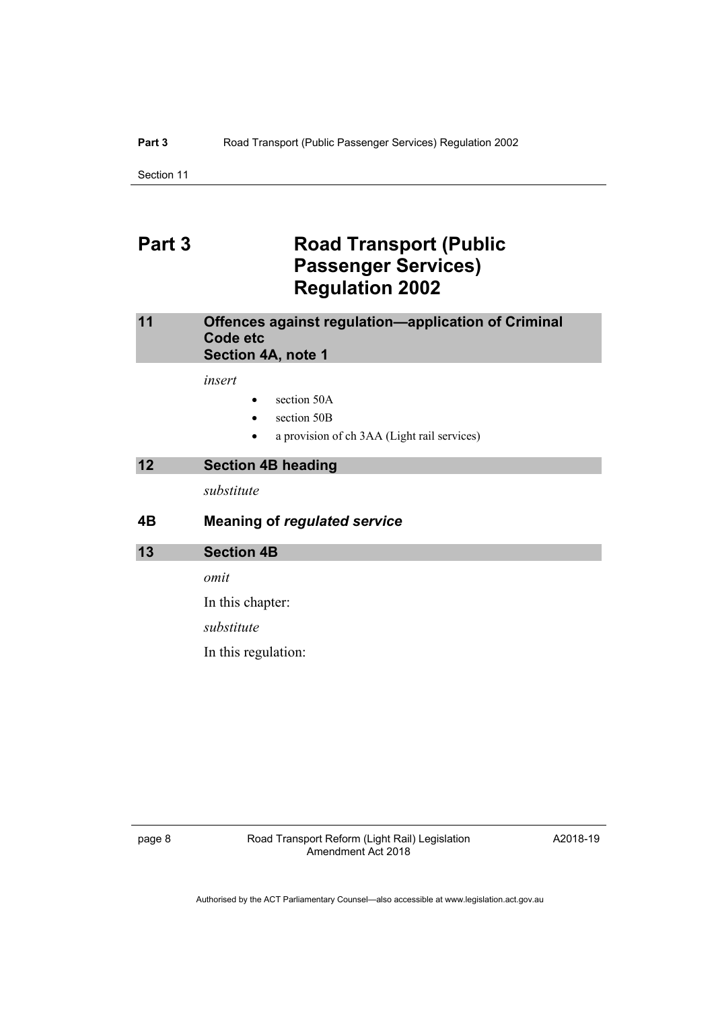## <span id="page-11-0"></span>**Part 3 Road Transport (Public Passenger Services) Regulation 2002**

#### <span id="page-11-1"></span>**11 Offences against regulation—application of Criminal Code etc Section 4A, note 1**

*insert* 

- section 50A
- section 50B
- a provision of ch 3AA (Light rail services)

#### <span id="page-11-2"></span>**12 Section 4B heading**

*substitute* 

**4B Meaning of** *regulated service*

#### <span id="page-11-3"></span>**13 Section 4B**

*omit* 

In this chapter:

*substitute* 

In this regulation:

page 8 Road Transport Reform (Light Rail) Legislation Amendment Act 2018

A2018-19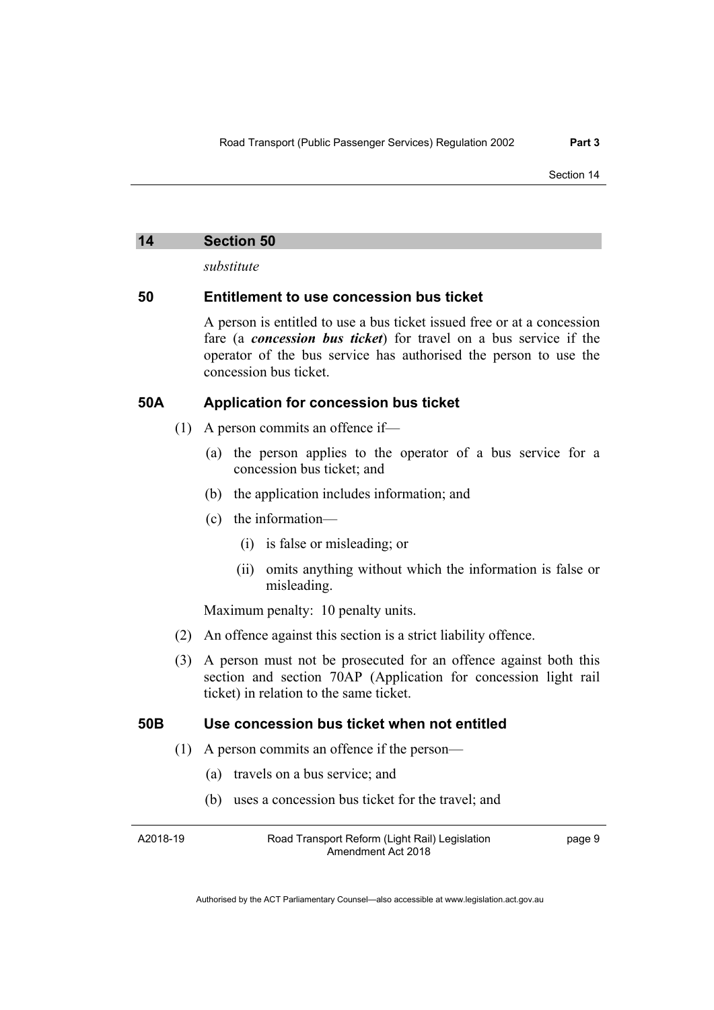*substitute* 

#### <span id="page-12-0"></span>**50 Entitlement to use concession bus ticket**

A person is entitled to use a bus ticket issued free or at a concession fare (a *concession bus ticket*) for travel on a bus service if the operator of the bus service has authorised the person to use the concession bus ticket.

### **50A Application for concession bus ticket**

- (1) A person commits an offence if—
	- (a) the person applies to the operator of a bus service for a concession bus ticket; and
	- (b) the application includes information; and
	- (c) the information—
		- (i) is false or misleading; or
		- (ii) omits anything without which the information is false or misleading.

Maximum penalty: 10 penalty units.

- (2) An offence against this section is a strict liability offence.
- (3) A person must not be prosecuted for an offence against both this section and section 70AP (Application for concession light rail ticket) in relation to the same ticket.

### **50B Use concession bus ticket when not entitled**

- (1) A person commits an offence if the person—
	- (a) travels on a bus service; and
	- (b) uses a concession bus ticket for the travel; and

A2018-19

Road Transport Reform (Light Rail) Legislation Amendment Act 2018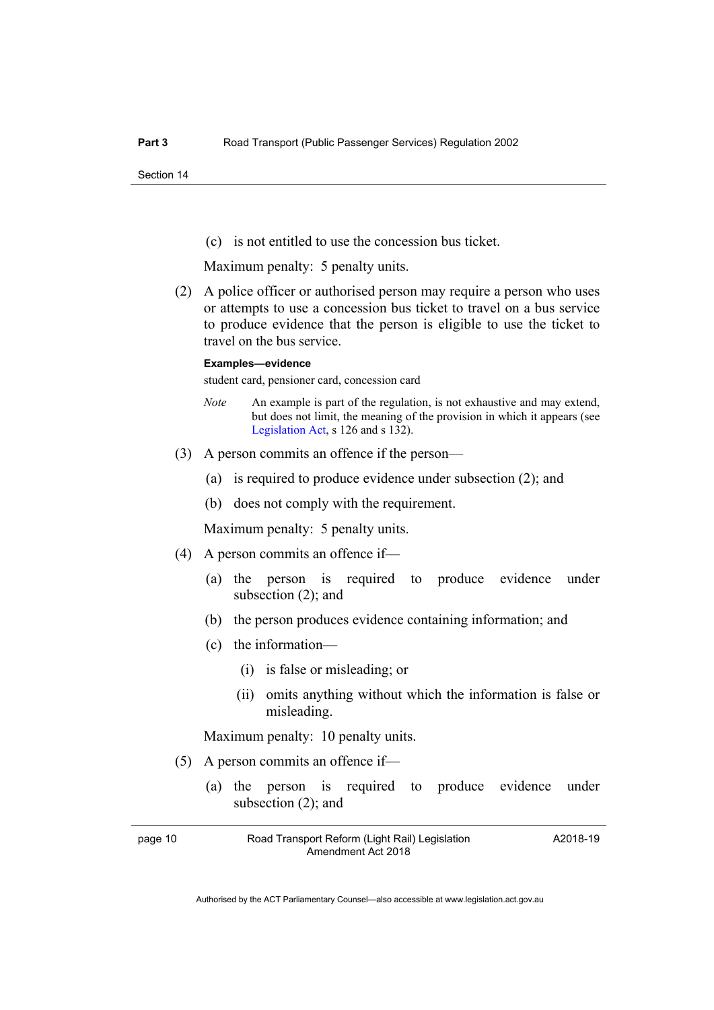(c) is not entitled to use the concession bus ticket.

Maximum penalty: 5 penalty units.

 (2) A police officer or authorised person may require a person who uses or attempts to use a concession bus ticket to travel on a bus service to produce evidence that the person is eligible to use the ticket to travel on the bus service.

#### **Examples—evidence**

student card, pensioner card, concession card

- *Note* An example is part of the regulation, is not exhaustive and may extend, but does not limit, the meaning of the provision in which it appears (see [Legislation Act,](http://www.legislation.act.gov.au/a/2001-14) s 126 and s 132).
- (3) A person commits an offence if the person—
	- (a) is required to produce evidence under subsection (2); and
	- (b) does not comply with the requirement.

Maximum penalty: 5 penalty units.

- (4) A person commits an offence if—
	- (a) the person is required to produce evidence under subsection (2); and
	- (b) the person produces evidence containing information; and
	- (c) the information—
		- (i) is false or misleading; or
		- (ii) omits anything without which the information is false or misleading.

Maximum penalty: 10 penalty units.

- (5) A person commits an offence if—
	- (a) the person is required to produce evidence under subsection (2); and

page 10 Road Transport Reform (Light Rail) Legislation Amendment Act 2018 A2018-19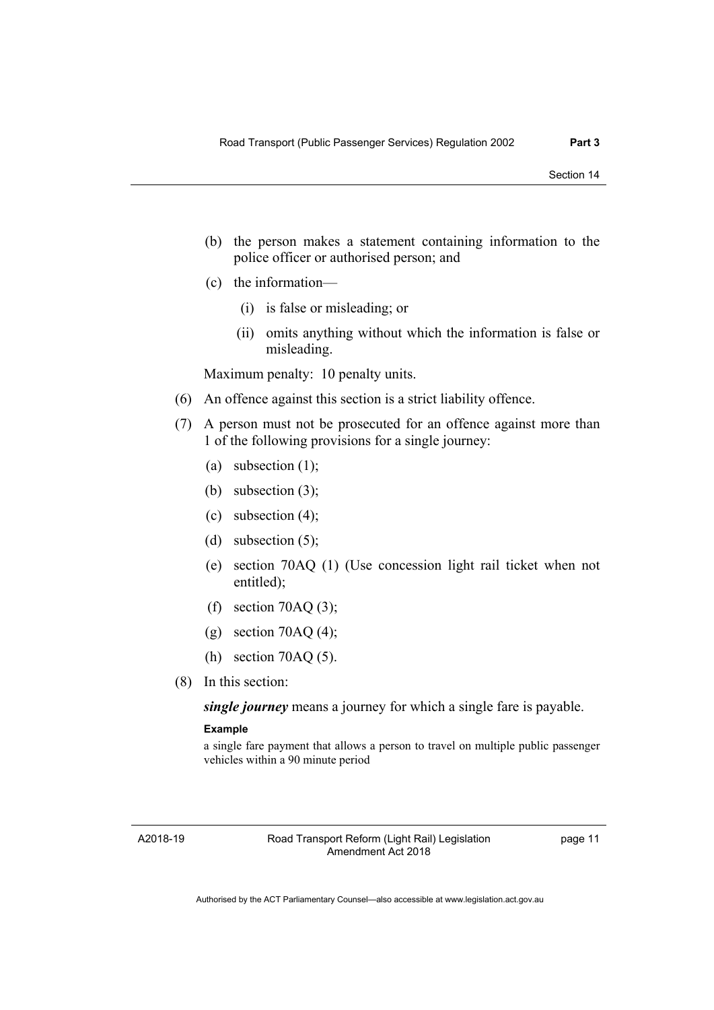- (b) the person makes a statement containing information to the police officer or authorised person; and
- (c) the information—
	- (i) is false or misleading; or
	- (ii) omits anything without which the information is false or misleading.

Maximum penalty: 10 penalty units.

- (6) An offence against this section is a strict liability offence.
- (7) A person must not be prosecuted for an offence against more than 1 of the following provisions for a single journey:
	- (a) subsection (1);
	- (b) subsection (3);
	- (c) subsection (4);
	- (d) subsection  $(5)$ ;
	- (e) section 70AQ (1) (Use concession light rail ticket when not entitled);
	- (f) section 70AQ  $(3)$ ;
	- (g) section 70AQ  $(4)$ ;
	- (h) section 70AQ (5).
- (8) In this section:

*single journey* means a journey for which a single fare is payable.

#### **Example**

a single fare payment that allows a person to travel on multiple public passenger vehicles within a 90 minute period

A2018-19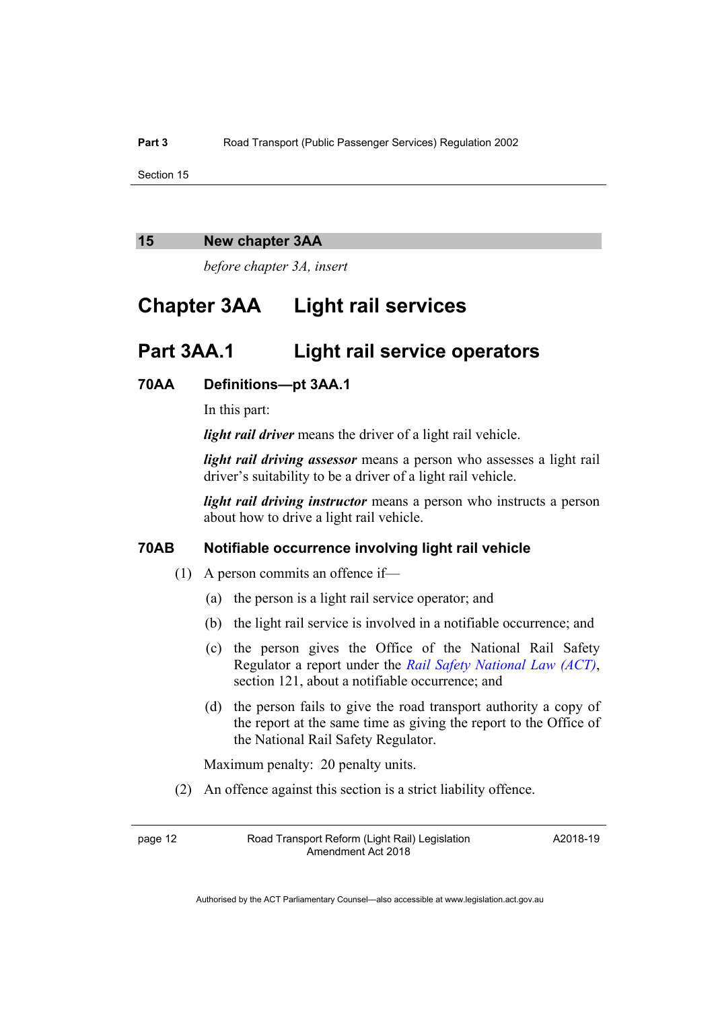#### <span id="page-15-0"></span>**15 New chapter 3AA**

*before chapter 3A, insert* 

## **Chapter 3AA Light rail services**

## **Part 3AA.1 Light rail service operators**

#### **70AA Definitions—pt 3AA.1**

In this part:

*light rail driver* means the driver of a light rail vehicle.

*light rail driving assessor* means a person who assesses a light rail driver's suitability to be a driver of a light rail vehicle.

*light rail driving instructor* means a person who instructs a person about how to drive a light rail vehicle.

### **70AB Notifiable occurrence involving light rail vehicle**

- (1) A person commits an offence if—
	- (a) the person is a light rail service operator; and
	- (b) the light rail service is involved in a notifiable occurrence; and
	- (c) the person gives the Office of the National Rail Safety Regulator a report under the *[Rail Safety National Law \(ACT\)](http://www.legislation.act.gov.au/a/2014-14/default.asp)*, section 121, about a notifiable occurrence; and
	- (d) the person fails to give the road transport authority a copy of the report at the same time as giving the report to the Office of the National Rail Safety Regulator.

Maximum penalty: 20 penalty units.

(2) An offence against this section is a strict liability offence.

A2018-19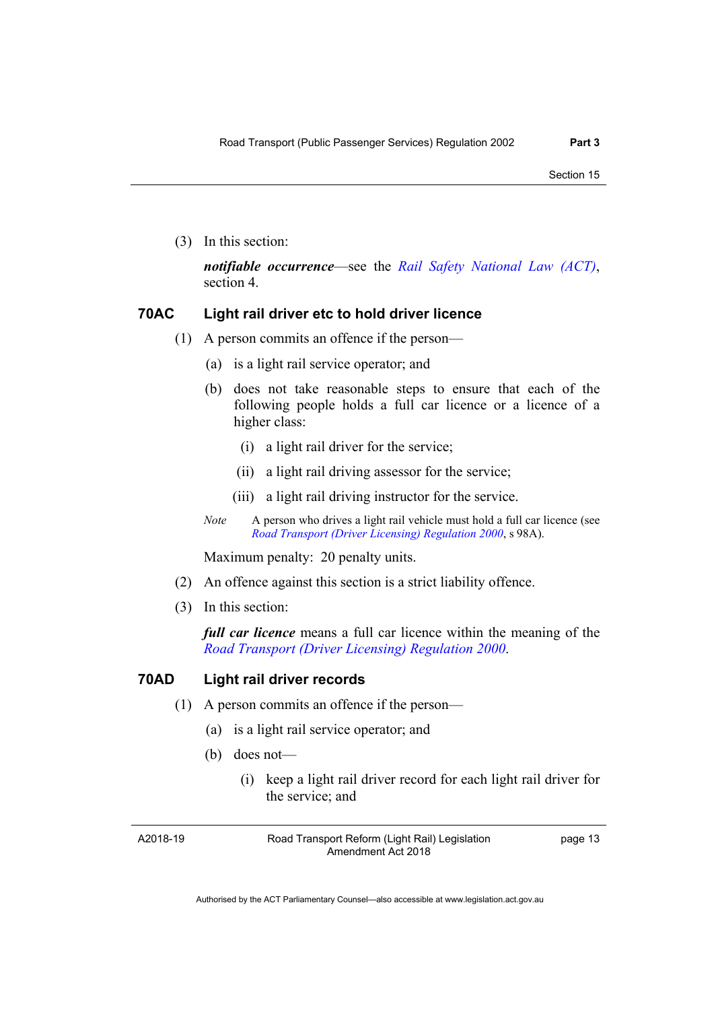(3) In this section:

*notifiable occurrence*—see the *[Rail Safety National Law \(ACT\)](http://www.legislation.act.gov.au/a/2014-14/default.asp)*, section 4.

### **70AC Light rail driver etc to hold driver licence**

- (1) A person commits an offence if the person—
	- (a) is a light rail service operator; and
	- (b) does not take reasonable steps to ensure that each of the following people holds a full car licence or a licence of a higher class:
		- (i) a light rail driver for the service;
		- (ii) a light rail driving assessor for the service;
		- (iii) a light rail driving instructor for the service.
	- *Note* A person who drives a light rail vehicle must hold a full car licence (see *[Road Transport \(Driver Licensing\) Regulation 2000](http://www.legislation.act.gov.au/sl/2000-14)*, s 98A).

Maximum penalty: 20 penalty units.

- (2) An offence against this section is a strict liability offence.
- (3) In this section:

*full car licence* means a full car licence within the meaning of the *[Road Transport \(Driver Licensing\) Regulation 2000](http://www.legislation.act.gov.au/sl/2000-14)*.

### **70AD Light rail driver records**

- (1) A person commits an offence if the person—
	- (a) is a light rail service operator; and
	- (b) does not—
		- (i) keep a light rail driver record for each light rail driver for the service; and

A2018-19

Road Transport Reform (Light Rail) Legislation Amendment Act 2018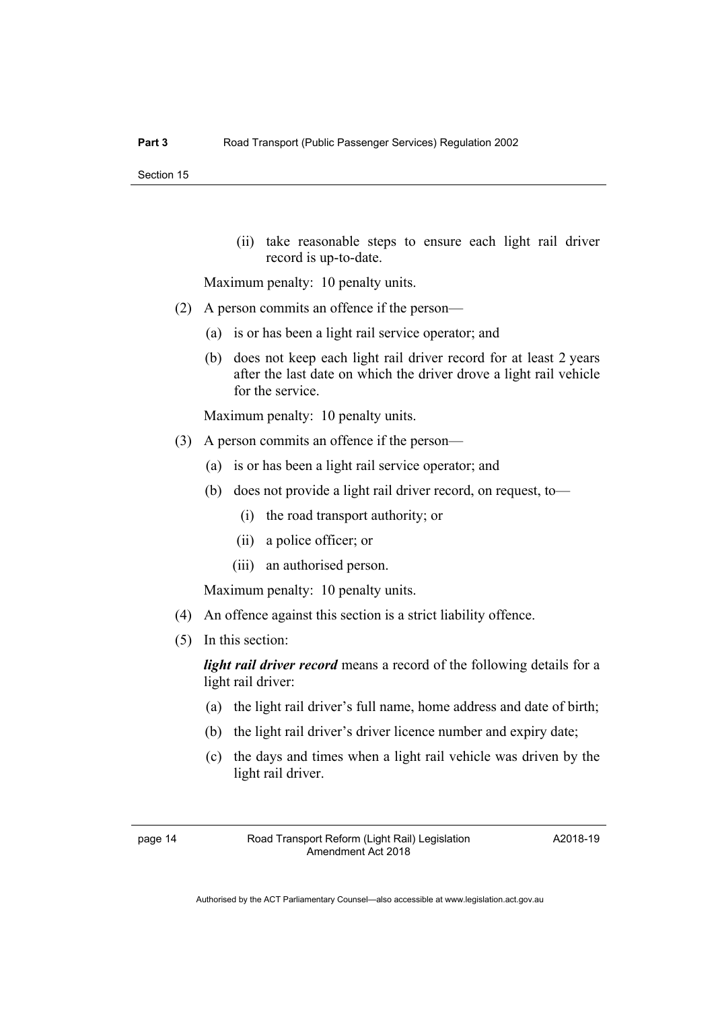(ii) take reasonable steps to ensure each light rail driver record is up-to-date.

Maximum penalty: 10 penalty units.

- (2) A person commits an offence if the person—
	- (a) is or has been a light rail service operator; and
	- (b) does not keep each light rail driver record for at least 2 years after the last date on which the driver drove a light rail vehicle for the service.

Maximum penalty: 10 penalty units.

- (3) A person commits an offence if the person—
	- (a) is or has been a light rail service operator; and
	- (b) does not provide a light rail driver record, on request, to—
		- (i) the road transport authority; or
		- (ii) a police officer; or
		- (iii) an authorised person.

Maximum penalty: 10 penalty units.

- (4) An offence against this section is a strict liability offence.
- (5) In this section:

*light rail driver record* means a record of the following details for a light rail driver:

- (a) the light rail driver's full name, home address and date of birth;
- (b) the light rail driver's driver licence number and expiry date;
- (c) the days and times when a light rail vehicle was driven by the light rail driver.

A2018-19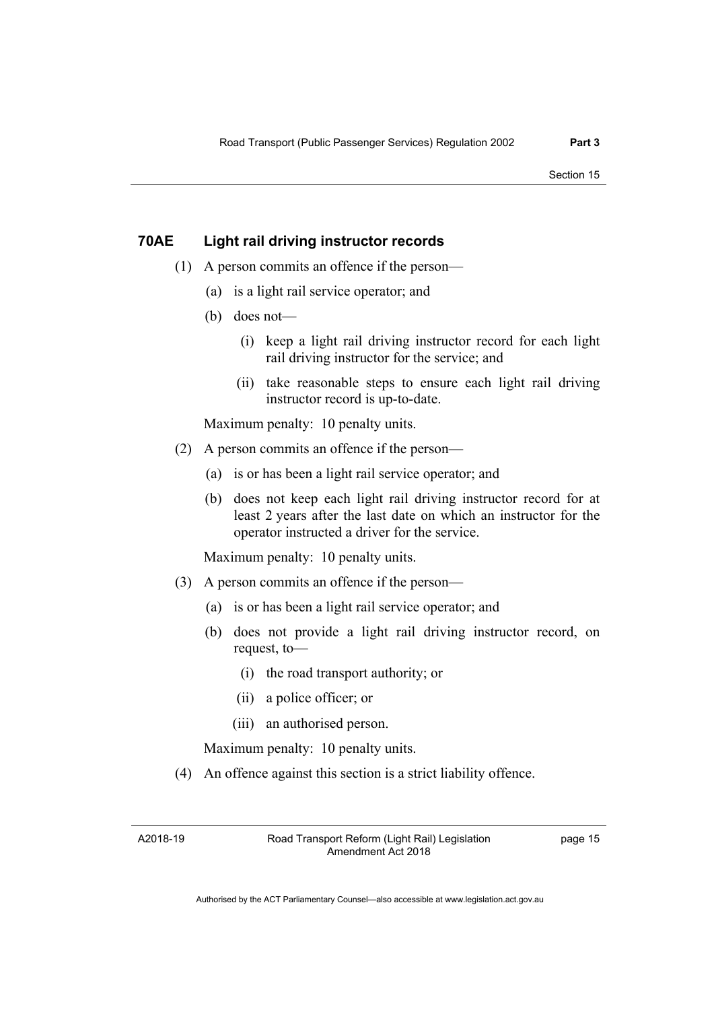#### **70AE Light rail driving instructor records**

- (1) A person commits an offence if the person—
	- (a) is a light rail service operator; and
	- (b) does not—
		- (i) keep a light rail driving instructor record for each light rail driving instructor for the service; and
		- (ii) take reasonable steps to ensure each light rail driving instructor record is up-to-date.

Maximum penalty: 10 penalty units.

- (2) A person commits an offence if the person—
	- (a) is or has been a light rail service operator; and
	- (b) does not keep each light rail driving instructor record for at least 2 years after the last date on which an instructor for the operator instructed a driver for the service.

Maximum penalty: 10 penalty units.

- (3) A person commits an offence if the person—
	- (a) is or has been a light rail service operator; and
	- (b) does not provide a light rail driving instructor record, on request, to—
		- (i) the road transport authority; or
		- (ii) a police officer; or
		- (iii) an authorised person.

Maximum penalty: 10 penalty units.

(4) An offence against this section is a strict liability offence.

A2018-19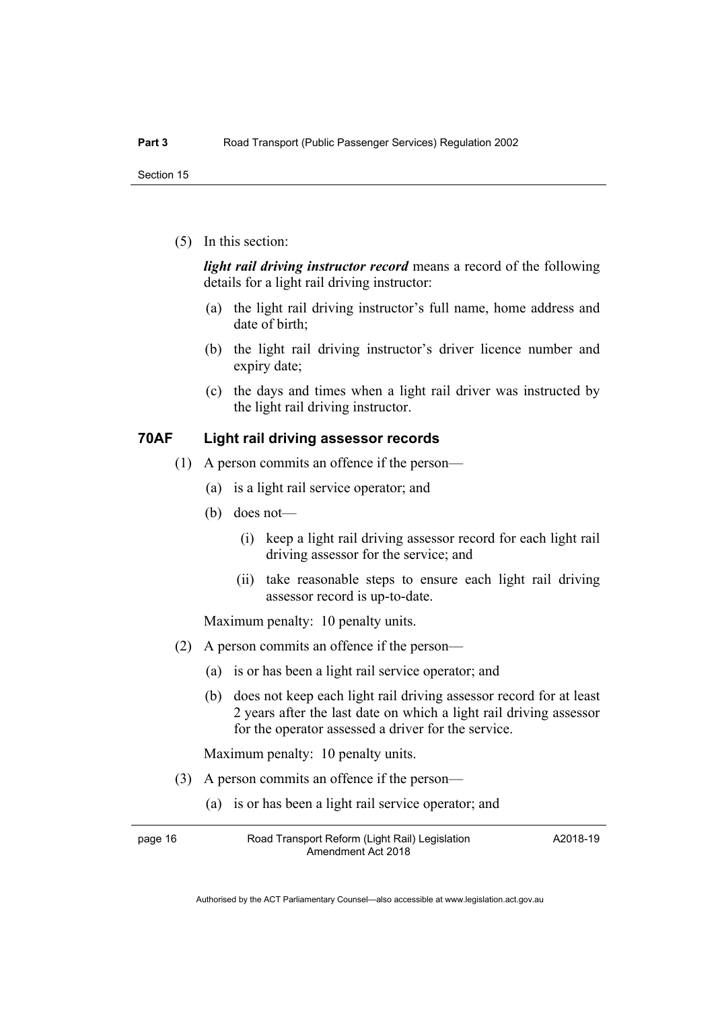(5) In this section:

*light rail driving instructor record* means a record of the following details for a light rail driving instructor:

- (a) the light rail driving instructor's full name, home address and date of birth;
- (b) the light rail driving instructor's driver licence number and expiry date;
- (c) the days and times when a light rail driver was instructed by the light rail driving instructor.

#### **70AF Light rail driving assessor records**

- (1) A person commits an offence if the person—
	- (a) is a light rail service operator; and
	- (b) does not—
		- (i) keep a light rail driving assessor record for each light rail driving assessor for the service; and
		- (ii) take reasonable steps to ensure each light rail driving assessor record is up-to-date.

Maximum penalty: 10 penalty units.

- (2) A person commits an offence if the person—
	- (a) is or has been a light rail service operator; and
	- (b) does not keep each light rail driving assessor record for at least 2 years after the last date on which a light rail driving assessor for the operator assessed a driver for the service.

Maximum penalty: 10 penalty units.

- (3) A person commits an offence if the person—
	- (a) is or has been a light rail service operator; and

page 16 Road Transport Reform (Light Rail) Legislation Amendment Act 2018

A2018-19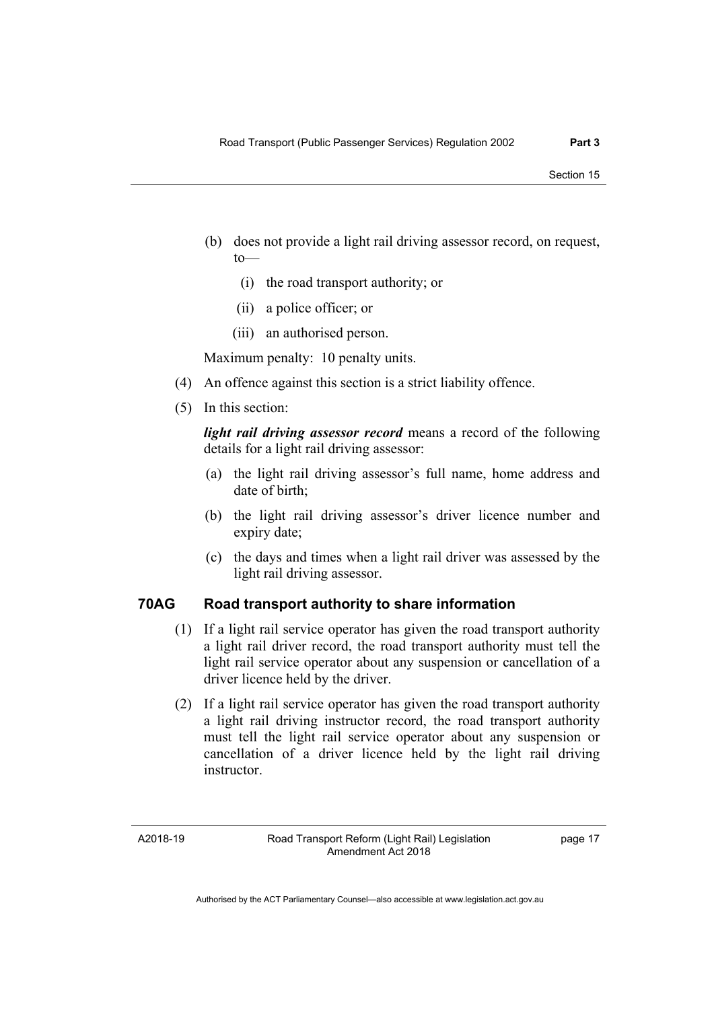- (b) does not provide a light rail driving assessor record, on request,  $to$ —
	- (i) the road transport authority; or
	- (ii) a police officer; or
	- (iii) an authorised person.

Maximum penalty: 10 penalty units.

- (4) An offence against this section is a strict liability offence.
- (5) In this section:

*light rail driving assessor record* means a record of the following details for a light rail driving assessor:

- (a) the light rail driving assessor's full name, home address and date of birth;
- (b) the light rail driving assessor's driver licence number and expiry date;
- (c) the days and times when a light rail driver was assessed by the light rail driving assessor.

#### **70AG Road transport authority to share information**

- (1) If a light rail service operator has given the road transport authority a light rail driver record, the road transport authority must tell the light rail service operator about any suspension or cancellation of a driver licence held by the driver.
- (2) If a light rail service operator has given the road transport authority a light rail driving instructor record, the road transport authority must tell the light rail service operator about any suspension or cancellation of a driver licence held by the light rail driving instructor.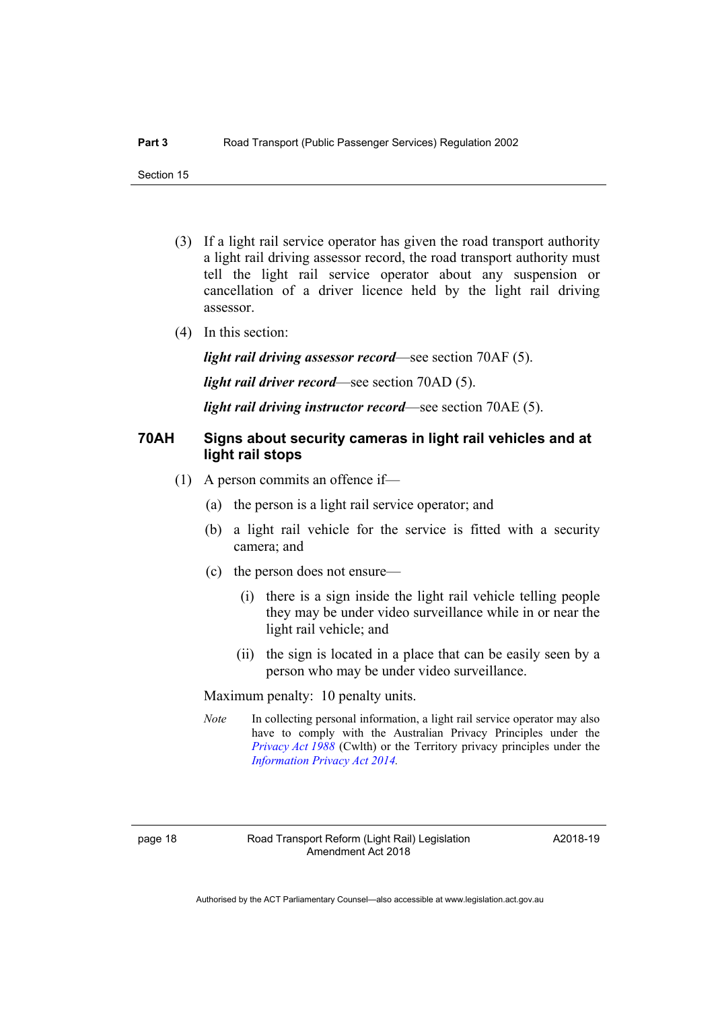- (3) If a light rail service operator has given the road transport authority a light rail driving assessor record, the road transport authority must tell the light rail service operator about any suspension or cancellation of a driver licence held by the light rail driving assessor.
- (4) In this section:

*light rail driving assessor record*—see section 70AF (5).

*light rail driver record*—see section 70AD (5).

*light rail driving instructor record*—see section 70AE (5).

#### **70AH Signs about security cameras in light rail vehicles and at light rail stops**

- (1) A person commits an offence if—
	- (a) the person is a light rail service operator; and
	- (b) a light rail vehicle for the service is fitted with a security camera; and
	- (c) the person does not ensure—
		- (i) there is a sign inside the light rail vehicle telling people they may be under video surveillance while in or near the light rail vehicle; and
		- (ii) the sign is located in a place that can be easily seen by a person who may be under video surveillance.

Maximum penalty: 10 penalty units.

*Note* In collecting personal information, a light rail service operator may also have to comply with the Australian Privacy Principles under the *[Privacy Act 1988](http://www.comlaw.gov.au/Series/C2004A03712)* (Cwlth) or the Territory privacy principles under the *[Information Privacy Act 2014.](http://www.legislation.act.gov.au/a/2014-24)* 

A2018-19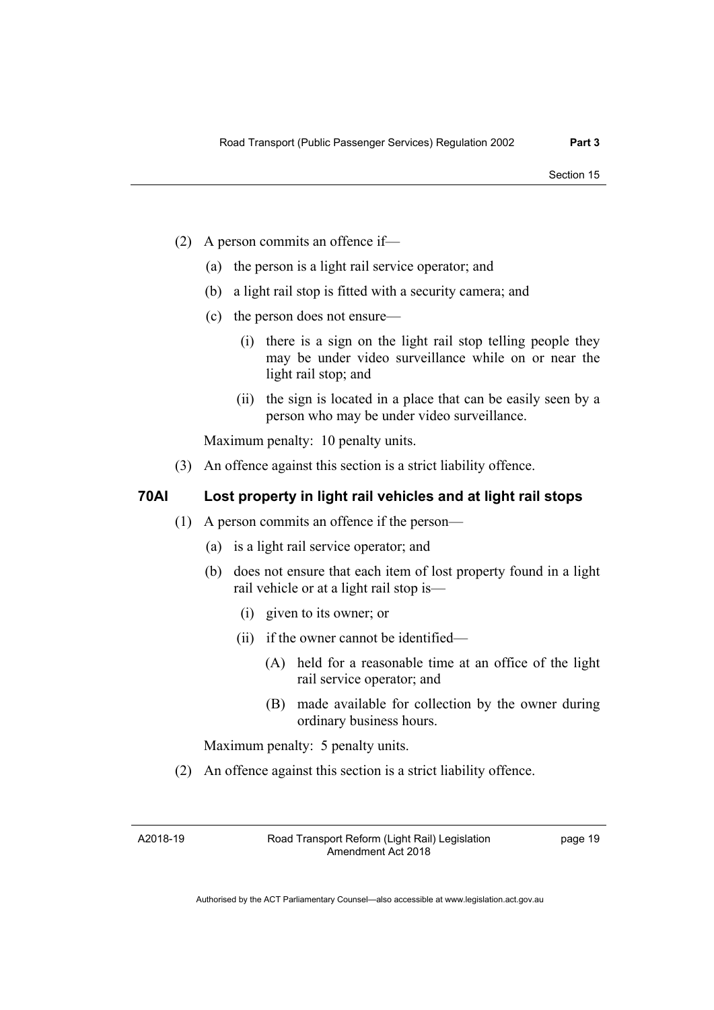- (2) A person commits an offence if—
	- (a) the person is a light rail service operator; and
	- (b) a light rail stop is fitted with a security camera; and
	- (c) the person does not ensure—
		- (i) there is a sign on the light rail stop telling people they may be under video surveillance while on or near the light rail stop; and
		- (ii) the sign is located in a place that can be easily seen by a person who may be under video surveillance.

Maximum penalty: 10 penalty units.

(3) An offence against this section is a strict liability offence.

#### **70AI Lost property in light rail vehicles and at light rail stops**

- (1) A person commits an offence if the person—
	- (a) is a light rail service operator; and
	- (b) does not ensure that each item of lost property found in a light rail vehicle or at a light rail stop is—
		- (i) given to its owner; or
		- (ii) if the owner cannot be identified—
			- (A) held for a reasonable time at an office of the light rail service operator; and
			- (B) made available for collection by the owner during ordinary business hours.

Maximum penalty: 5 penalty units.

(2) An offence against this section is a strict liability offence.

A2018-19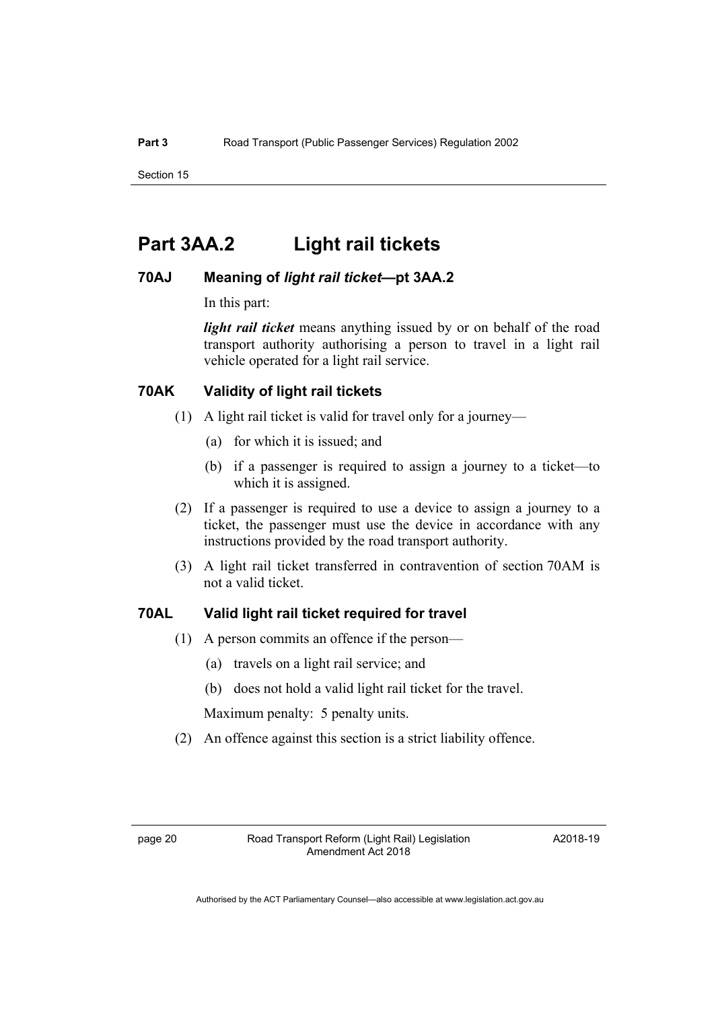## **Part 3AA.2 Light rail tickets**

#### **70AJ Meaning of** *light rail ticket***—pt 3AA.2**

In this part:

*light rail ticket* means anything issued by or on behalf of the road transport authority authorising a person to travel in a light rail vehicle operated for a light rail service.

#### **70AK Validity of light rail tickets**

- (1) A light rail ticket is valid for travel only for a journey—
	- (a) for which it is issued; and
	- (b) if a passenger is required to assign a journey to a ticket—to which it is assigned.
- (2) If a passenger is required to use a device to assign a journey to a ticket, the passenger must use the device in accordance with any instructions provided by the road transport authority.
- (3) A light rail ticket transferred in contravention of section 70AM is not a valid ticket.

#### **70AL Valid light rail ticket required for travel**

- (1) A person commits an offence if the person—
	- (a) travels on a light rail service; and
	- (b) does not hold a valid light rail ticket for the travel.

Maximum penalty: 5 penalty units.

(2) An offence against this section is a strict liability offence.

A2018-19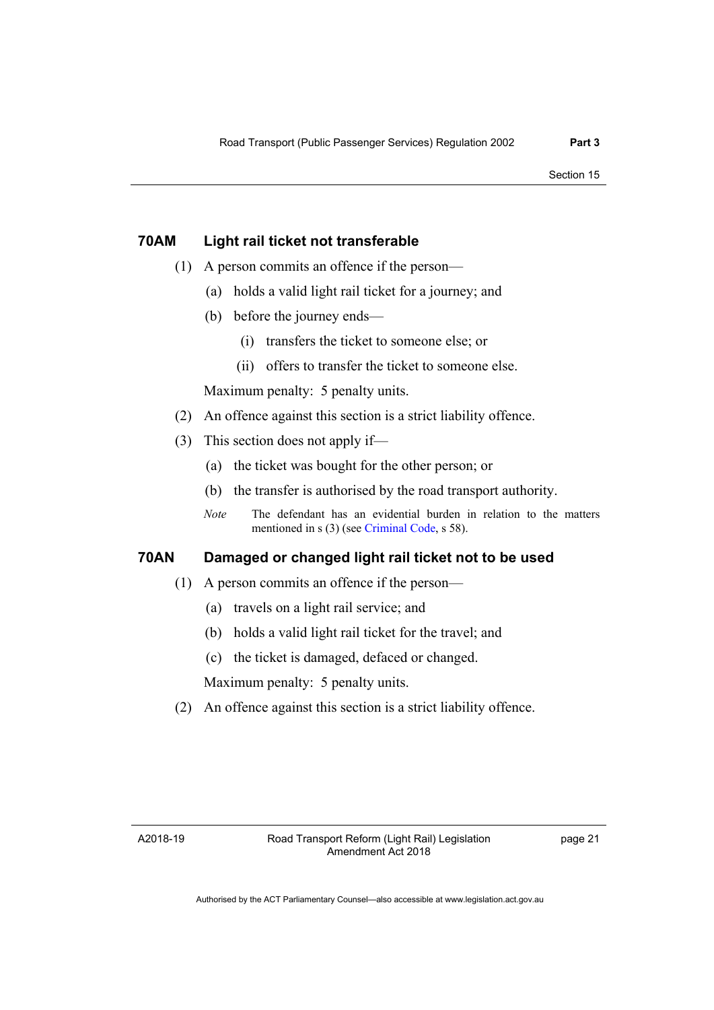### **70AM Light rail ticket not transferable**

- (1) A person commits an offence if the person—
	- (a) holds a valid light rail ticket for a journey; and
	- (b) before the journey ends—
		- (i) transfers the ticket to someone else; or
		- (ii) offers to transfer the ticket to someone else.

Maximum penalty: 5 penalty units.

- (2) An offence against this section is a strict liability offence.
- (3) This section does not apply if—
	- (a) the ticket was bought for the other person; or
	- (b) the transfer is authorised by the road transport authority.
	- *Note* The defendant has an evidential burden in relation to the matters mentioned in s (3) (see [Criminal Code](http://www.legislation.act.gov.au/a/2002-51), s 58).

#### **70AN Damaged or changed light rail ticket not to be used**

- (1) A person commits an offence if the person—
	- (a) travels on a light rail service; and
	- (b) holds a valid light rail ticket for the travel; and
	- (c) the ticket is damaged, defaced or changed.

Maximum penalty: 5 penalty units.

(2) An offence against this section is a strict liability offence.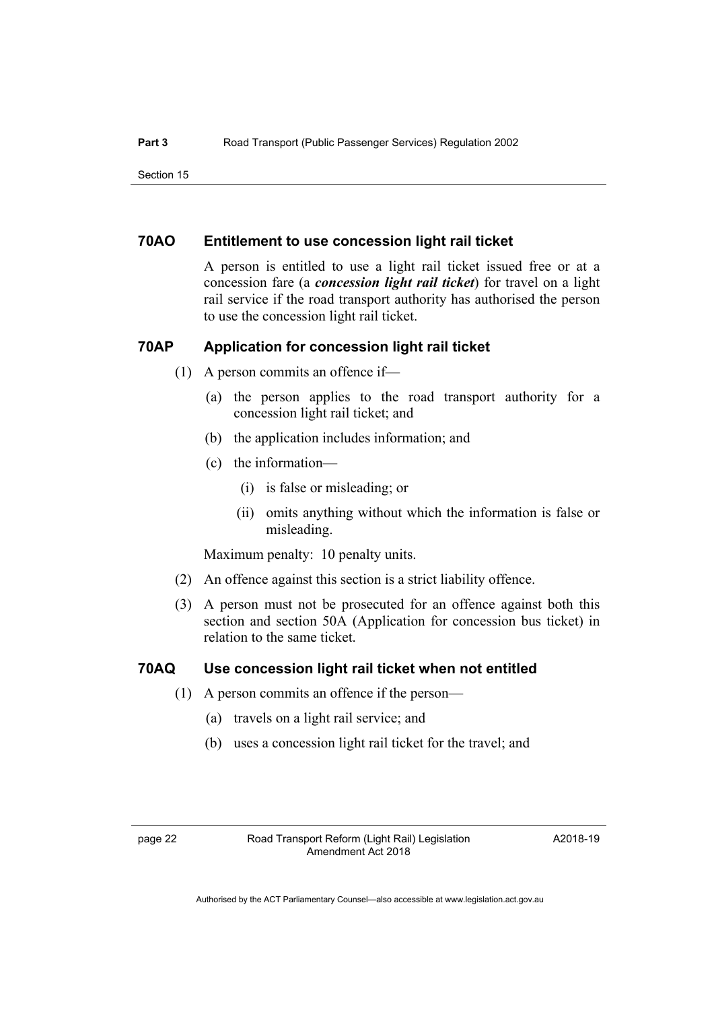#### **70AO Entitlement to use concession light rail ticket**

A person is entitled to use a light rail ticket issued free or at a concession fare (a *concession light rail ticket*) for travel on a light rail service if the road transport authority has authorised the person to use the concession light rail ticket.

#### **70AP Application for concession light rail ticket**

- (1) A person commits an offence if—
	- (a) the person applies to the road transport authority for a concession light rail ticket; and
	- (b) the application includes information; and
	- (c) the information—
		- (i) is false or misleading; or
		- (ii) omits anything without which the information is false or misleading.

Maximum penalty: 10 penalty units.

- (2) An offence against this section is a strict liability offence.
- (3) A person must not be prosecuted for an offence against both this section and section 50A (Application for concession bus ticket) in relation to the same ticket.

#### **70AQ Use concession light rail ticket when not entitled**

- (1) A person commits an offence if the person—
	- (a) travels on a light rail service; and
	- (b) uses a concession light rail ticket for the travel; and

A2018-19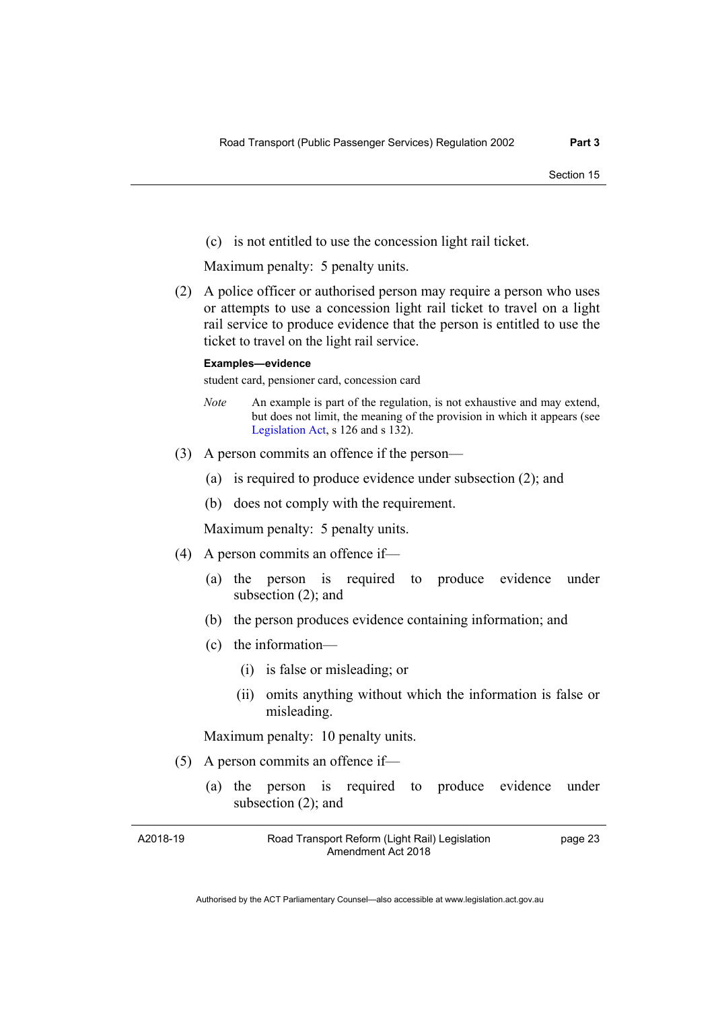(c) is not entitled to use the concession light rail ticket.

Maximum penalty: 5 penalty units.

 (2) A police officer or authorised person may require a person who uses or attempts to use a concession light rail ticket to travel on a light rail service to produce evidence that the person is entitled to use the ticket to travel on the light rail service.

#### **Examples—evidence**

student card, pensioner card, concession card

- *Note* An example is part of the regulation, is not exhaustive and may extend, but does not limit, the meaning of the provision in which it appears (see [Legislation Act,](http://www.legislation.act.gov.au/a/2001-14) s 126 and s 132).
- (3) A person commits an offence if the person—
	- (a) is required to produce evidence under subsection (2); and
	- (b) does not comply with the requirement.

Maximum penalty: 5 penalty units.

- (4) A person commits an offence if—
	- (a) the person is required to produce evidence under subsection (2); and
	- (b) the person produces evidence containing information; and
	- (c) the information—
		- (i) is false or misleading; or
		- (ii) omits anything without which the information is false or misleading.

Maximum penalty: 10 penalty units.

- (5) A person commits an offence if—
	- (a) the person is required to produce evidence under subsection (2); and

| A2018-19 | Road Transport Reform (Light Rail) Legislation | page 23 |
|----------|------------------------------------------------|---------|
|          | Amendment Act 2018                             |         |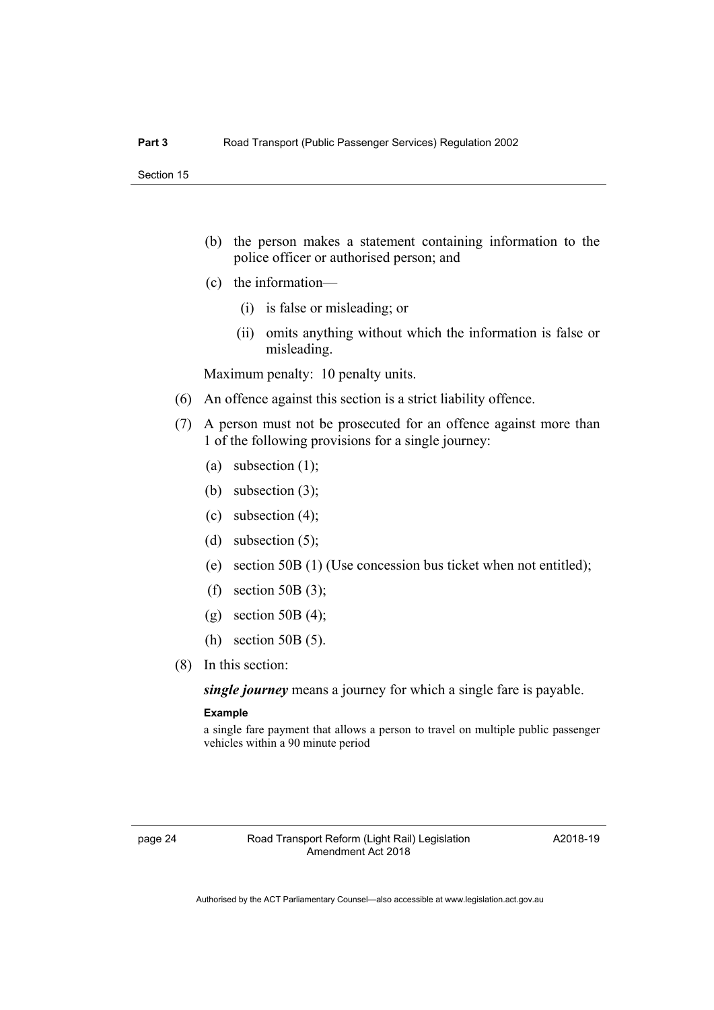- (b) the person makes a statement containing information to the police officer or authorised person; and
- (c) the information—
	- (i) is false or misleading; or
	- (ii) omits anything without which the information is false or misleading.

Maximum penalty: 10 penalty units.

- (6) An offence against this section is a strict liability offence.
- (7) A person must not be prosecuted for an offence against more than 1 of the following provisions for a single journey:
	- (a) subsection (1);
	- (b) subsection (3);
	- (c) subsection (4);
	- (d) subsection (5);
	- (e) section 50B (1) (Use concession bus ticket when not entitled);
	- (f) section 50B  $(3)$ ;
	- (g) section 50B  $(4)$ ;
	- (h) section 50B (5).
- (8) In this section:

*single journey* means a journey for which a single fare is payable.

#### **Example**

a single fare payment that allows a person to travel on multiple public passenger vehicles within a 90 minute period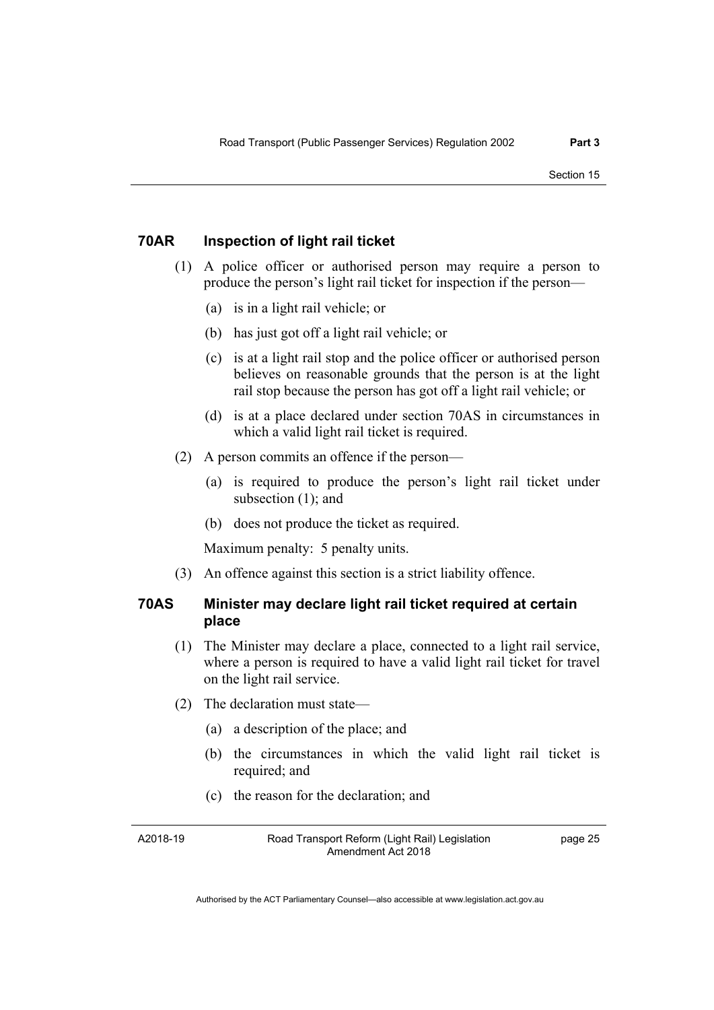### **70AR Inspection of light rail ticket**

- (1) A police officer or authorised person may require a person to produce the person's light rail ticket for inspection if the person—
	- (a) is in a light rail vehicle; or
	- (b) has just got off a light rail vehicle; or
	- (c) is at a light rail stop and the police officer or authorised person believes on reasonable grounds that the person is at the light rail stop because the person has got off a light rail vehicle; or
	- (d) is at a place declared under section 70AS in circumstances in which a valid light rail ticket is required.
- (2) A person commits an offence if the person—
	- (a) is required to produce the person's light rail ticket under subsection  $(1)$ ; and
	- (b) does not produce the ticket as required.

Maximum penalty: 5 penalty units.

(3) An offence against this section is a strict liability offence.

### **70AS Minister may declare light rail ticket required at certain place**

- (1) The Minister may declare a place, connected to a light rail service, where a person is required to have a valid light rail ticket for travel on the light rail service.
- (2) The declaration must state—
	- (a) a description of the place; and
	- (b) the circumstances in which the valid light rail ticket is required; and
	- (c) the reason for the declaration; and

A2018-19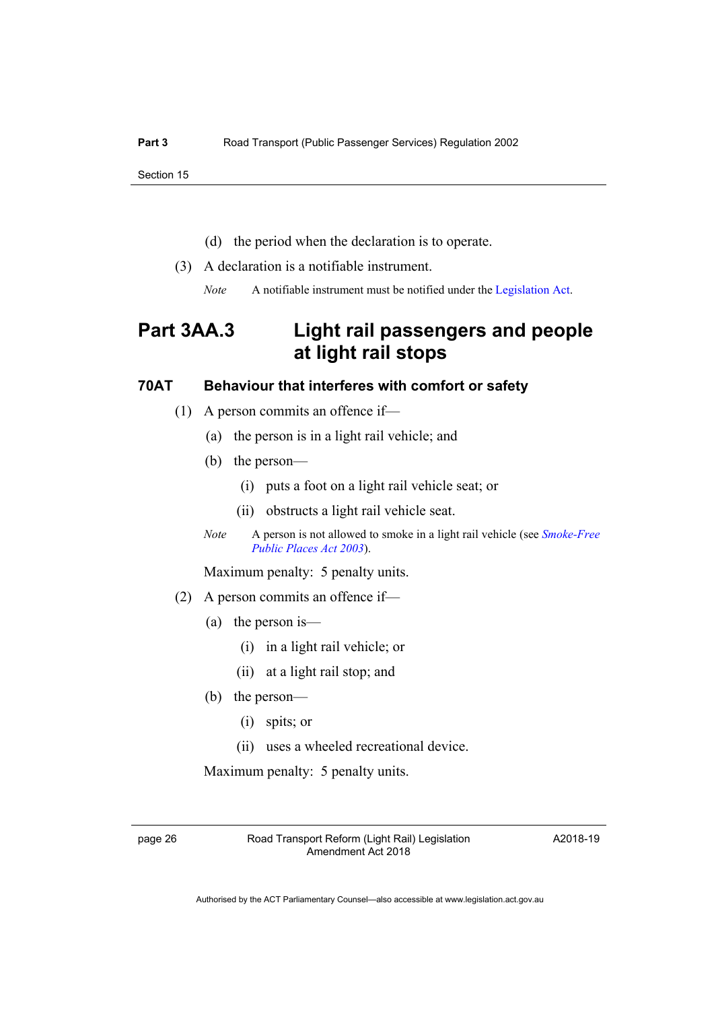- (d) the period when the declaration is to operate.
- (3) A declaration is a notifiable instrument.
	- *Note* A notifiable instrument must be notified under the [Legislation Act](http://www.legislation.act.gov.au/a/2001-14).

## **Part 3AA.3 Light rail passengers and people at light rail stops**

### **70AT Behaviour that interferes with comfort or safety**

- (1) A person commits an offence if—
	- (a) the person is in a light rail vehicle; and
	- (b) the person—
		- (i) puts a foot on a light rail vehicle seat; or
		- (ii) obstructs a light rail vehicle seat.
	- *Note* A person is not allowed to smoke in a light rail vehicle (see *[Smoke-Free](http://www.legislation.act.gov.au/a/2003-51)  [Public Places Act 2003](http://www.legislation.act.gov.au/a/2003-51)*).

Maximum penalty: 5 penalty units.

- (2) A person commits an offence if—
	- (a) the person is—
		- (i) in a light rail vehicle; or
		- (ii) at a light rail stop; and
	- (b) the person—
		- (i) spits; or
		- (ii) uses a wheeled recreational device.

Maximum penalty: 5 penalty units.

page 26 Road Transport Reform (Light Rail) Legislation Amendment Act 2018

A2018-19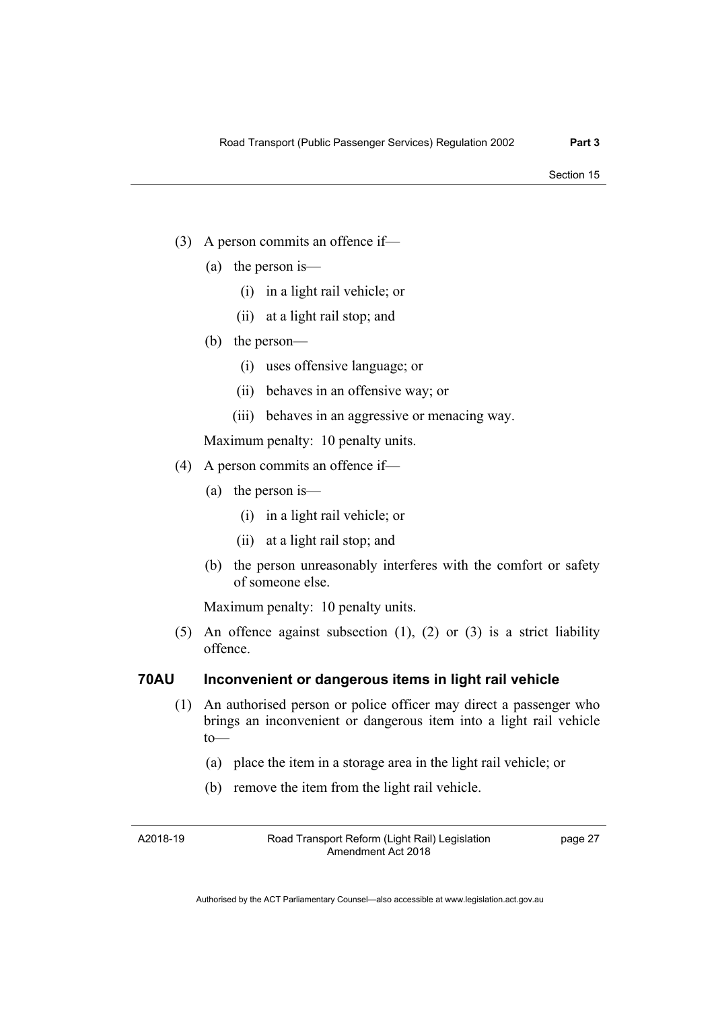- (3) A person commits an offence if—
	- (a) the person is—
		- (i) in a light rail vehicle; or
		- (ii) at a light rail stop; and
	- (b) the person—
		- (i) uses offensive language; or
		- (ii) behaves in an offensive way; or
		- (iii) behaves in an aggressive or menacing way.

Maximum penalty: 10 penalty units.

- (4) A person commits an offence if—
	- (a) the person is—
		- (i) in a light rail vehicle; or
		- (ii) at a light rail stop; and
	- (b) the person unreasonably interferes with the comfort or safety of someone else.

Maximum penalty: 10 penalty units.

 (5) An offence against subsection (1), (2) or (3) is a strict liability offence.

#### **70AU Inconvenient or dangerous items in light rail vehicle**

- (1) An authorised person or police officer may direct a passenger who brings an inconvenient or dangerous item into a light rail vehicle to—
	- (a) place the item in a storage area in the light rail vehicle; or
	- (b) remove the item from the light rail vehicle.

A2018-19

Road Transport Reform (Light Rail) Legislation Amendment Act 2018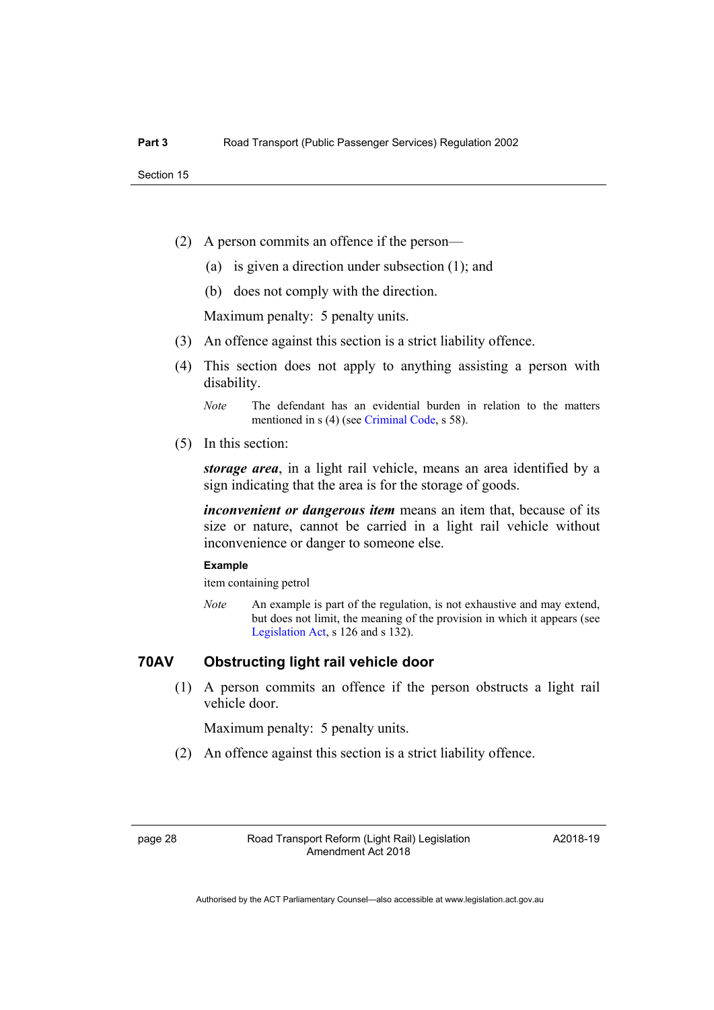- (2) A person commits an offence if the person—
	- (a) is given a direction under subsection (1); and
	- (b) does not comply with the direction.

Maximum penalty: 5 penalty units.

- (3) An offence against this section is a strict liability offence.
- (4) This section does not apply to anything assisting a person with disability.

(5) In this section:

*storage area*, in a light rail vehicle, means an area identified by a sign indicating that the area is for the storage of goods.

*inconvenient or dangerous item* means an item that, because of its size or nature, cannot be carried in a light rail vehicle without inconvenience or danger to someone else.

#### **Example**

item containing petrol

*Note* An example is part of the regulation, is not exhaustive and may extend, but does not limit, the meaning of the provision in which it appears (see [Legislation Act,](http://www.legislation.act.gov.au/a/2001-14) s 126 and s 132).

#### **70AV Obstructing light rail vehicle door**

 (1) A person commits an offence if the person obstructs a light rail vehicle door.

Maximum penalty: 5 penalty units.

(2) An offence against this section is a strict liability offence.

A2018-19

*Note* The defendant has an evidential burden in relation to the matters mentioned in s (4) (see [Criminal Code](http://www.legislation.act.gov.au/a/2002-51), s 58).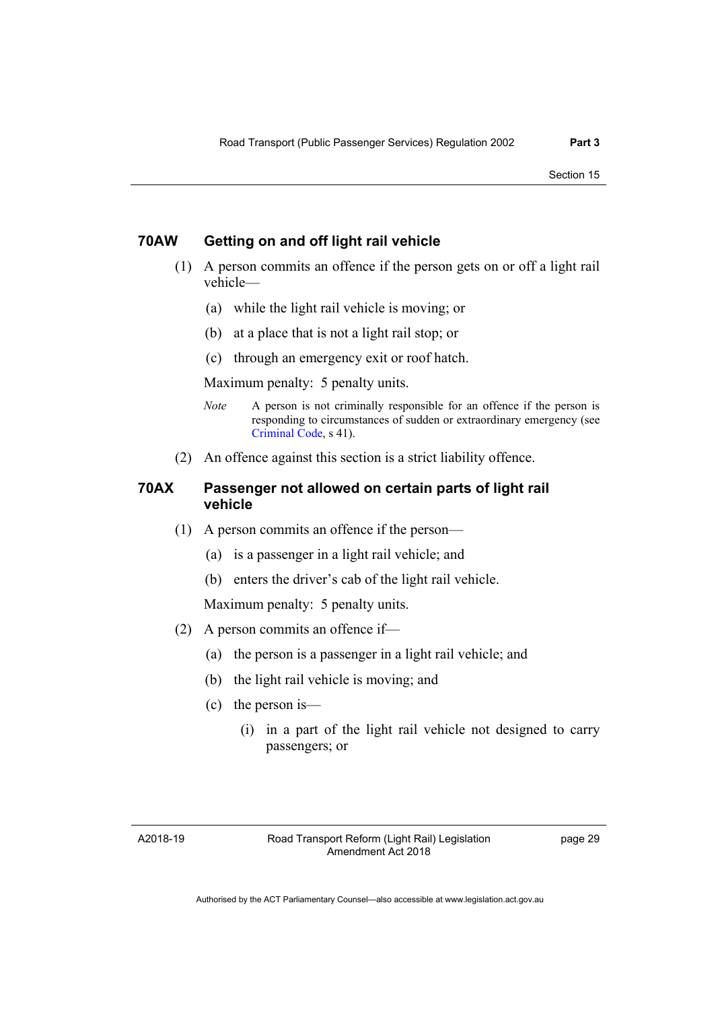### **70AW Getting on and off light rail vehicle**

- (1) A person commits an offence if the person gets on or off a light rail vehicle—
	- (a) while the light rail vehicle is moving; or
	- (b) at a place that is not a light rail stop; or
	- (c) through an emergency exit or roof hatch.

Maximum penalty: 5 penalty units.

- *Note* A person is not criminally responsible for an offence if the person is responding to circumstances of sudden or extraordinary emergency (see [Criminal Code](http://www.legislation.act.gov.au/a/2002-51), s 41).
- (2) An offence against this section is a strict liability offence.

### **70AX Passenger not allowed on certain parts of light rail vehicle**

- (1) A person commits an offence if the person—
	- (a) is a passenger in a light rail vehicle; and
	- (b) enters the driver's cab of the light rail vehicle.

Maximum penalty: 5 penalty units.

- (2) A person commits an offence if—
	- (a) the person is a passenger in a light rail vehicle; and
	- (b) the light rail vehicle is moving; and
	- (c) the person is—
		- (i) in a part of the light rail vehicle not designed to carry passengers; or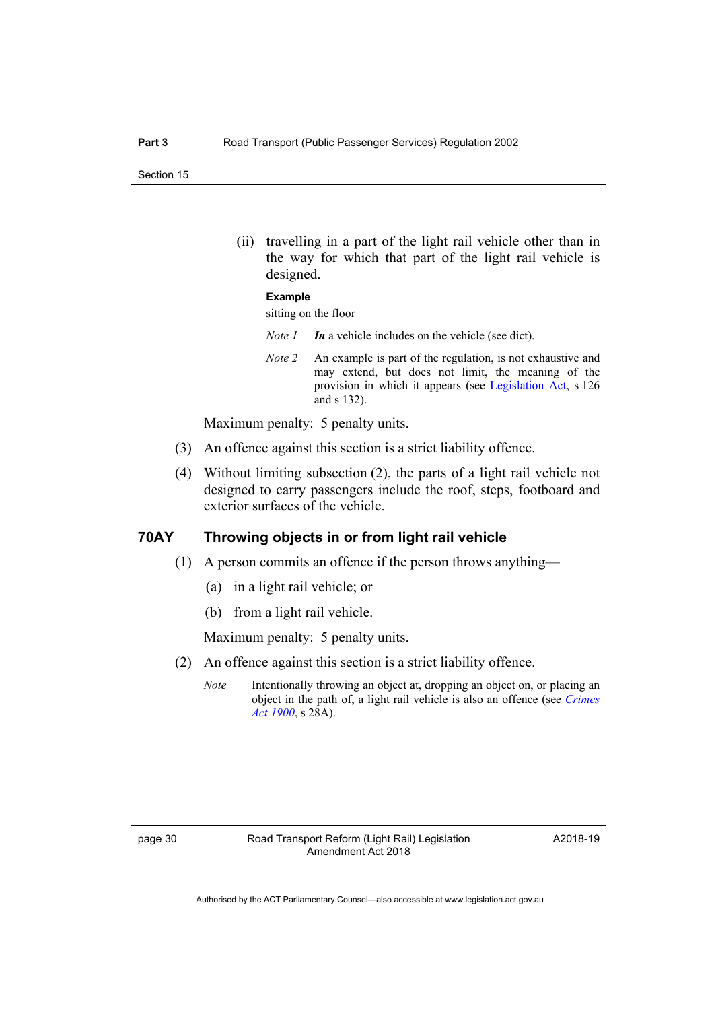(ii) travelling in a part of the light rail vehicle other than in the way for which that part of the light rail vehicle is designed.

#### **Example**

sitting on the floor

*Note 1 In* a vehicle includes on the vehicle (see dict).

*Note 2* An example is part of the regulation, is not exhaustive and may extend, but does not limit, the meaning of the provision in which it appears (see [Legislation Act](http://www.legislation.act.gov.au/a/2001-14), s 126 and s 132).

Maximum penalty: 5 penalty units.

- (3) An offence against this section is a strict liability offence.
- (4) Without limiting subsection (2), the parts of a light rail vehicle not designed to carry passengers include the roof, steps, footboard and exterior surfaces of the vehicle.

### **70AY Throwing objects in or from light rail vehicle**

- (1) A person commits an offence if the person throws anything—
	- (a) in a light rail vehicle; or
	- (b) from a light rail vehicle.

Maximum penalty: 5 penalty units.

- (2) An offence against this section is a strict liability offence.
	- *Note* Intentionally throwing an object at, dropping an object on, or placing an object in the path of, a light rail vehicle is also an offence (see *[Crimes](http://www.legislation.act.gov.au/a/1900-40)  [Act 1900](http://www.legislation.act.gov.au/a/1900-40)*, s 28A).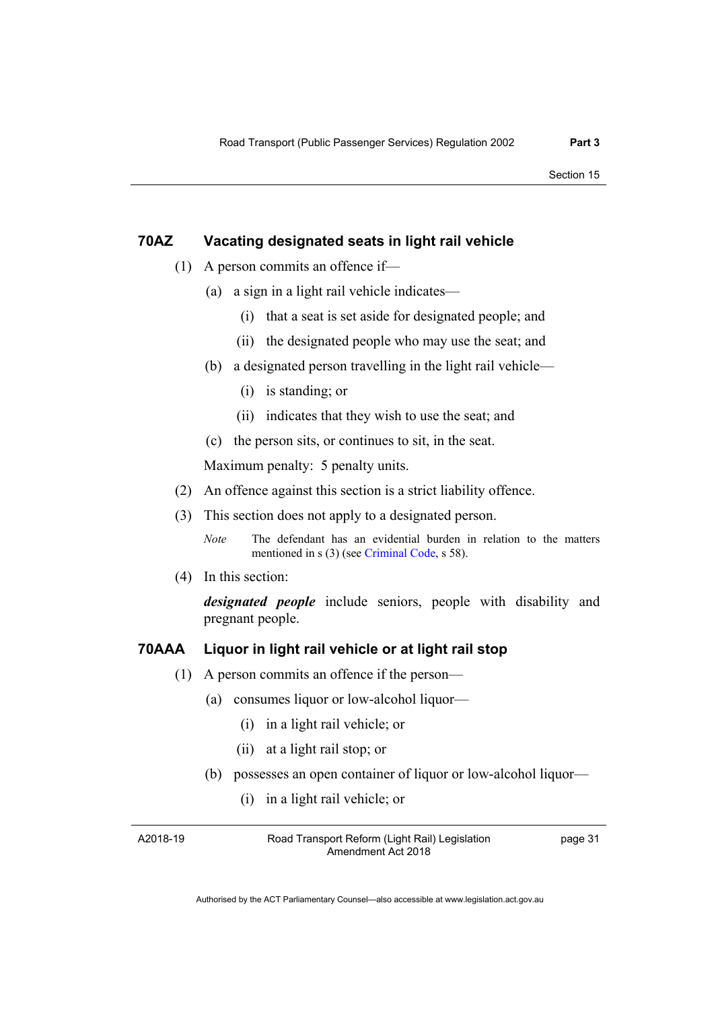#### **70AZ Vacating designated seats in light rail vehicle**

- (1) A person commits an offence if—
	- (a) a sign in a light rail vehicle indicates—
		- (i) that a seat is set aside for designated people; and
		- (ii) the designated people who may use the seat; and
	- (b) a designated person travelling in the light rail vehicle—
		- (i) is standing; or
		- (ii) indicates that they wish to use the seat; and
	- (c) the person sits, or continues to sit, in the seat.

Maximum penalty: 5 penalty units.

- (2) An offence against this section is a strict liability offence.
- (3) This section does not apply to a designated person.

*Note* The defendant has an evidential burden in relation to the matters mentioned in s (3) (see [Criminal Code](http://www.legislation.act.gov.au/a/2002-51), s 58).

(4) In this section:

*designated people* include seniors, people with disability and pregnant people.

#### **70AAA Liquor in light rail vehicle or at light rail stop**

- (1) A person commits an offence if the person—
	- (a) consumes liquor or low-alcohol liquor—
		- (i) in a light rail vehicle; or
		- (ii) at a light rail stop; or
	- (b) possesses an open container of liquor or low-alcohol liquor—
		- (i) in a light rail vehicle; or

A2018-19

Road Transport Reform (Light Rail) Legislation Amendment Act 2018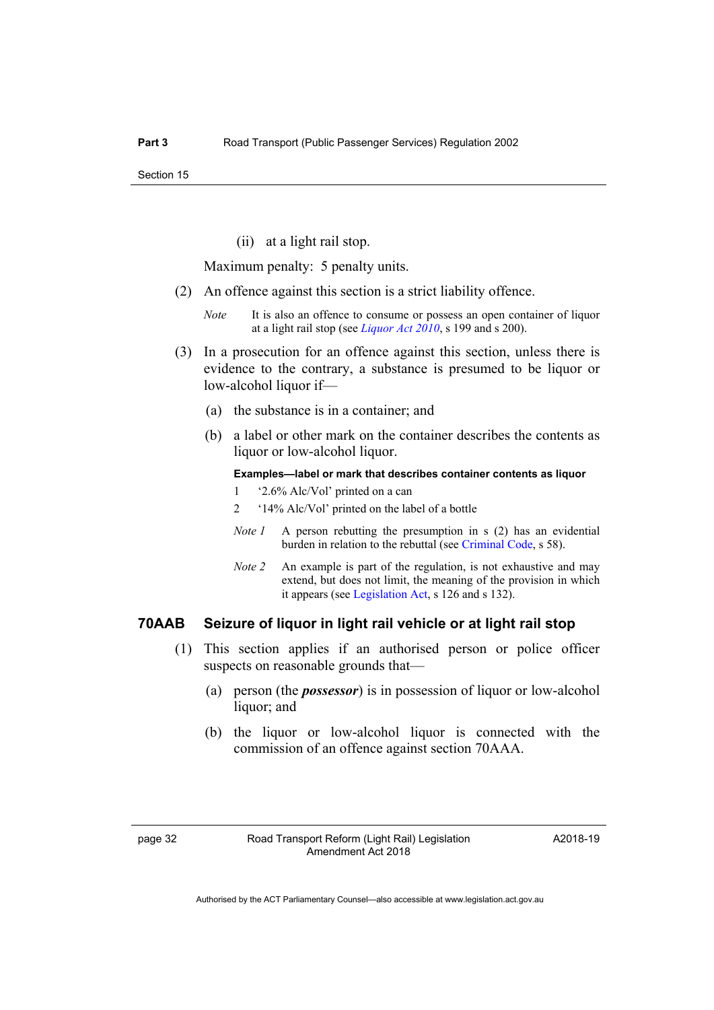(ii) at a light rail stop.

Maximum penalty: 5 penalty units.

- (2) An offence against this section is a strict liability offence.
	- *Note* It is also an offence to consume or possess an open container of liquor at a light rail stop (see *[Liquor Act 2010](http://www.legislation.act.gov.au/a/2010-35)*, s 199 and s 200).
- (3) In a prosecution for an offence against this section, unless there is evidence to the contrary, a substance is presumed to be liquor or low-alcohol liquor if—
	- (a) the substance is in a container; and
	- (b) a label or other mark on the container describes the contents as liquor or low-alcohol liquor.

#### **Examples—label or mark that describes container contents as liquor**

- 1 '2.6% Alc/Vol' printed on a can
- 2 '14% Alc/Vol' printed on the label of a bottle
- *Note 1* A person rebutting the presumption in s (2) has an evidential burden in relation to the rebuttal (see [Criminal Code](http://www.legislation.act.gov.au/a/2002-51), s 58).
- *Note 2* An example is part of the regulation, is not exhaustive and may extend, but does not limit, the meaning of the provision in which it appears (see [Legislation Act,](http://www.legislation.act.gov.au/a/2001-14) s 126 and s 132).

#### **70AAB Seizure of liquor in light rail vehicle or at light rail stop**

- (1) This section applies if an authorised person or police officer suspects on reasonable grounds that—
	- (a) person (the *possessor*) is in possession of liquor or low-alcohol liquor; and
	- (b) the liquor or low-alcohol liquor is connected with the commission of an offence against section 70AAA.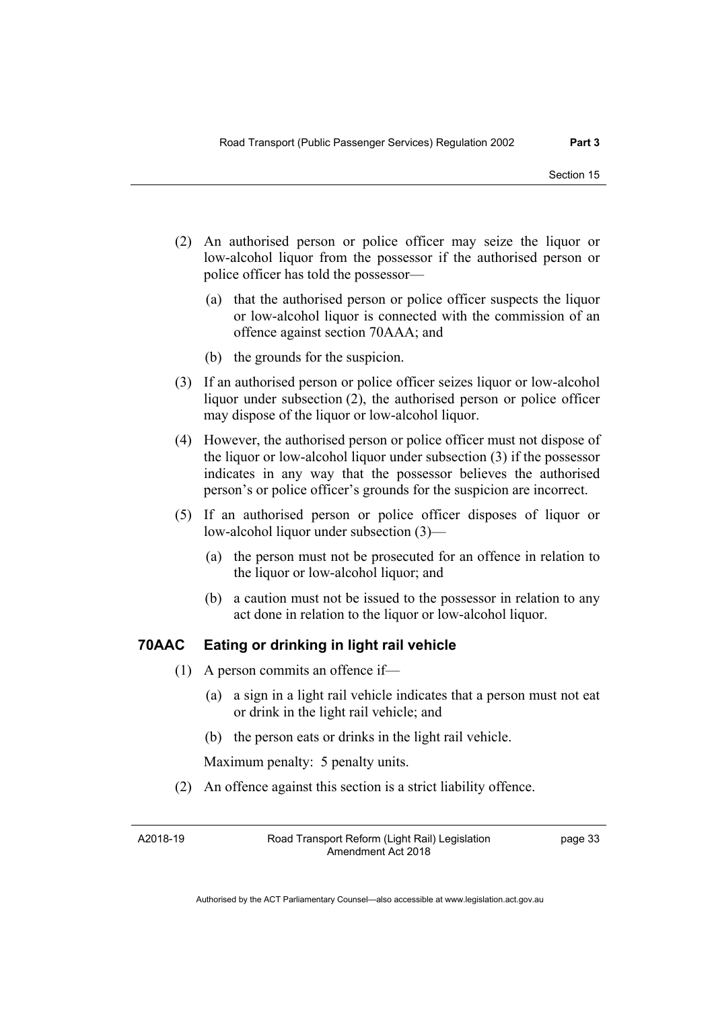- (2) An authorised person or police officer may seize the liquor or low-alcohol liquor from the possessor if the authorised person or police officer has told the possessor—
	- (a) that the authorised person or police officer suspects the liquor or low-alcohol liquor is connected with the commission of an offence against section 70AAA; and
	- (b) the grounds for the suspicion.
- (3) If an authorised person or police officer seizes liquor or low-alcohol liquor under subsection (2), the authorised person or police officer may dispose of the liquor or low-alcohol liquor.
- (4) However, the authorised person or police officer must not dispose of the liquor or low-alcohol liquor under subsection (3) if the possessor indicates in any way that the possessor believes the authorised person's or police officer's grounds for the suspicion are incorrect.
- (5) If an authorised person or police officer disposes of liquor or low-alcohol liquor under subsection (3)—
	- (a) the person must not be prosecuted for an offence in relation to the liquor or low-alcohol liquor; and
	- (b) a caution must not be issued to the possessor in relation to any act done in relation to the liquor or low-alcohol liquor.

#### **70AAC Eating or drinking in light rail vehicle**

- (1) A person commits an offence if—
	- (a) a sign in a light rail vehicle indicates that a person must not eat or drink in the light rail vehicle; and
	- (b) the person eats or drinks in the light rail vehicle.

Maximum penalty: 5 penalty units.

(2) An offence against this section is a strict liability offence.

A2018-19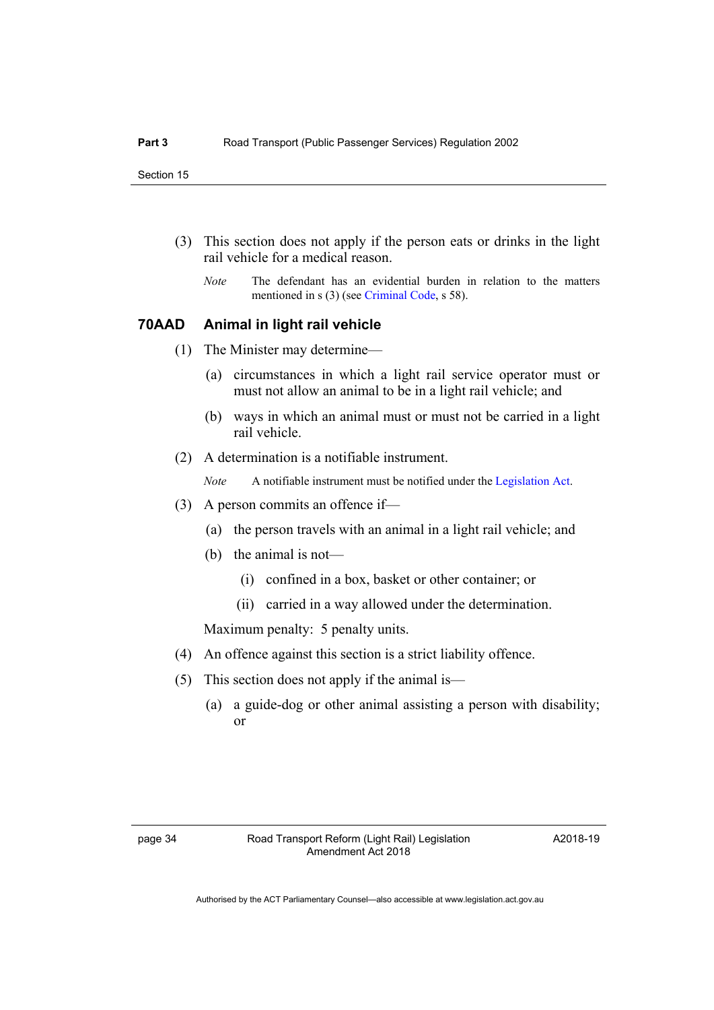- (3) This section does not apply if the person eats or drinks in the light rail vehicle for a medical reason.
	- *Note* The defendant has an evidential burden in relation to the matters mentioned in s (3) (see [Criminal Code](http://www.legislation.act.gov.au/a/2002-51), s 58).

#### **70AAD Animal in light rail vehicle**

- (1) The Minister may determine—
	- (a) circumstances in which a light rail service operator must or must not allow an animal to be in a light rail vehicle; and
	- (b) ways in which an animal must or must not be carried in a light rail vehicle.
- (2) A determination is a notifiable instrument.

*Note* A notifiable instrument must be notified under the [Legislation Act](http://www.legislation.act.gov.au/a/2001-14).

- (3) A person commits an offence if—
	- (a) the person travels with an animal in a light rail vehicle; and
	- (b) the animal is not—
		- (i) confined in a box, basket or other container; or
		- (ii) carried in a way allowed under the determination.

Maximum penalty: 5 penalty units.

- (4) An offence against this section is a strict liability offence.
- (5) This section does not apply if the animal is—
	- (a) a guide-dog or other animal assisting a person with disability; or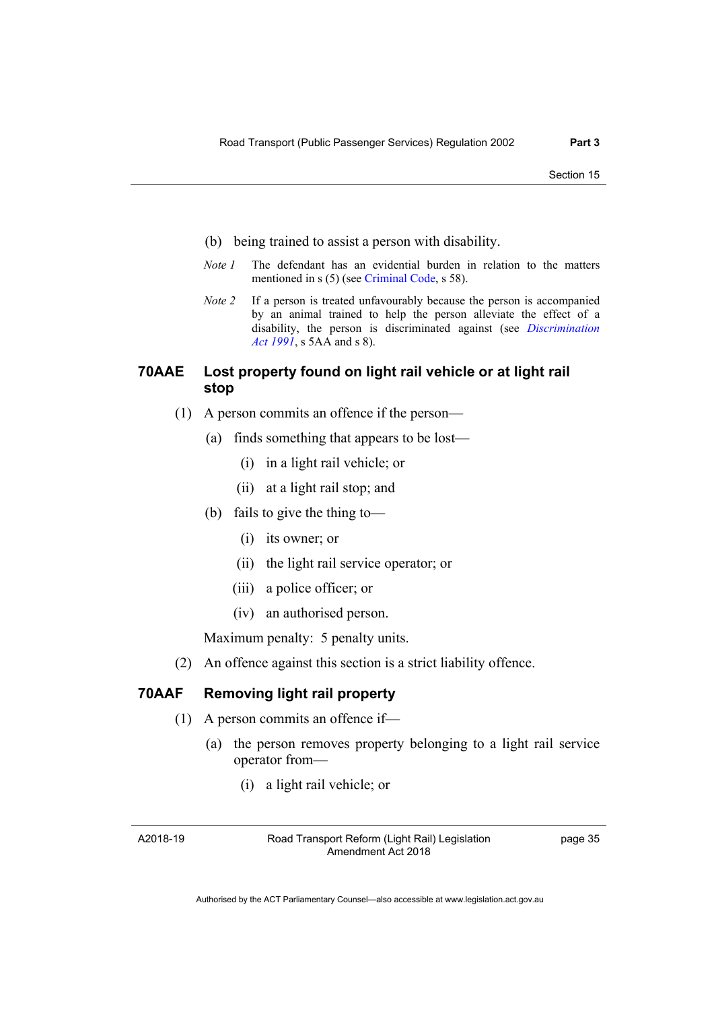- (b) being trained to assist a person with disability.
- *Note 1* The defendant has an evidential burden in relation to the matters mentioned in s (5) (see [Criminal Code](http://www.legislation.act.gov.au/a/2002-51), s 58).
- *Note 2* If a person is treated unfavourably because the person is accompanied by an animal trained to help the person alleviate the effect of a disability, the person is discriminated against (see *[Discrimination](http://www.legislation.act.gov.au/a/1991-81)  [Act 1991](http://www.legislation.act.gov.au/a/1991-81)*, s 5AA and s 8).

### **70AAE Lost property found on light rail vehicle or at light rail stop**

- (1) A person commits an offence if the person—
	- (a) finds something that appears to be lost—
		- (i) in a light rail vehicle; or
		- (ii) at a light rail stop; and
	- (b) fails to give the thing to—
		- (i) its owner; or
		- (ii) the light rail service operator; or
		- (iii) a police officer; or
		- (iv) an authorised person.

Maximum penalty: 5 penalty units.

(2) An offence against this section is a strict liability offence.

### **70AAF Removing light rail property**

- (1) A person commits an offence if—
	- (a) the person removes property belonging to a light rail service operator from—
		- (i) a light rail vehicle; or

A2018-19

Road Transport Reform (Light Rail) Legislation Amendment Act 2018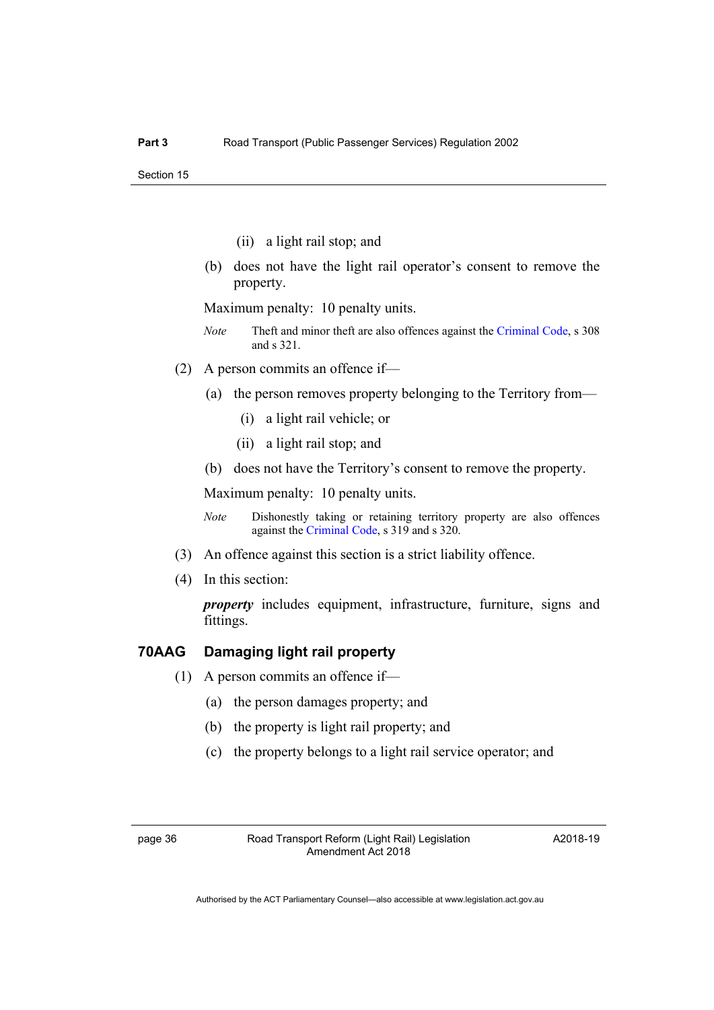- (ii) a light rail stop; and
- (b) does not have the light rail operator's consent to remove the property.

Maximum penalty: 10 penalty units.

- *Note* Theft and minor theft are also offences against the [Criminal Code,](http://www.legislation.act.gov.au/a/2002-51) s 308 and s 321.
- (2) A person commits an offence if—
	- (a) the person removes property belonging to the Territory from—
		- (i) a light rail vehicle; or
		- (ii) a light rail stop; and
	- (b) does not have the Territory's consent to remove the property.

Maximum penalty: 10 penalty units.

- *Note* Dishonestly taking or retaining territory property are also offences against the [Criminal Code,](http://www.legislation.act.gov.au/a/2002-51) s 319 and s 320.
- (3) An offence against this section is a strict liability offence.
- (4) In this section:

*property* includes equipment, infrastructure, furniture, signs and fittings.

#### **70AAG Damaging light rail property**

- (1) A person commits an offence if—
	- (a) the person damages property; and
	- (b) the property is light rail property; and
	- (c) the property belongs to a light rail service operator; and

A2018-19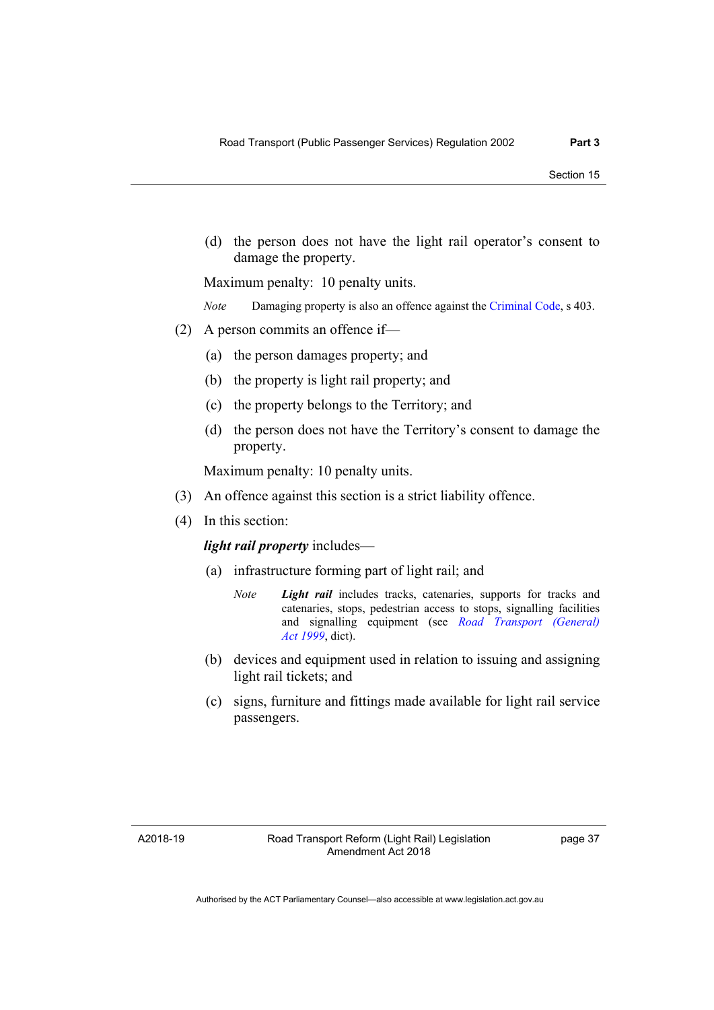(d) the person does not have the light rail operator's consent to damage the property.

Maximum penalty: 10 penalty units.

*Note* Damaging property is also an offence against the [Criminal Code](http://www.legislation.act.gov.au/a/2002-51), s 403.

- (2) A person commits an offence if—
	- (a) the person damages property; and
	- (b) the property is light rail property; and
	- (c) the property belongs to the Territory; and
	- (d) the person does not have the Territory's consent to damage the property.

Maximum penalty: 10 penalty units.

- (3) An offence against this section is a strict liability offence.
- (4) In this section:

*light rail property* includes—

- (a) infrastructure forming part of light rail; and
	- *Note Light rail* includes tracks, catenaries, supports for tracks and catenaries, stops, pedestrian access to stops, signalling facilities and signalling equipment (see *[Road Transport \(General\)](http://www.legislation.act.gov.au/a/1999-77)  [Act 1999](http://www.legislation.act.gov.au/a/1999-77)*, dict).
- (b) devices and equipment used in relation to issuing and assigning light rail tickets; and
- (c) signs, furniture and fittings made available for light rail service passengers.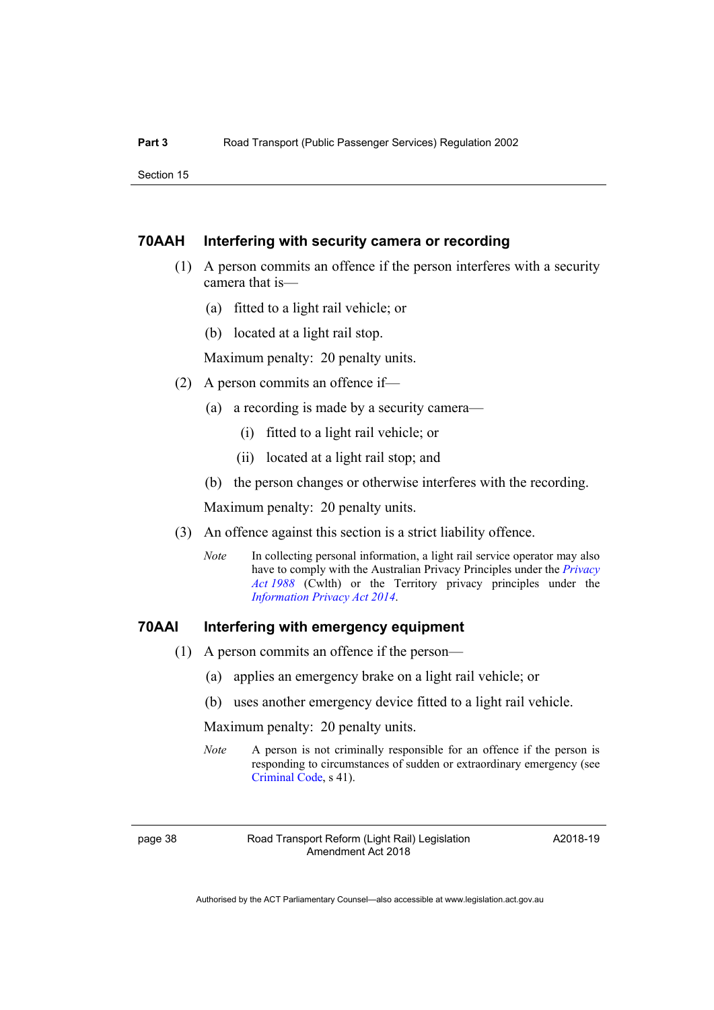#### **70AAH Interfering with security camera or recording**

- (1) A person commits an offence if the person interferes with a security camera that is—
	- (a) fitted to a light rail vehicle; or
	- (b) located at a light rail stop.

Maximum penalty: 20 penalty units.

- (2) A person commits an offence if—
	- (a) a recording is made by a security camera—
		- (i) fitted to a light rail vehicle; or
		- (ii) located at a light rail stop; and
	- (b) the person changes or otherwise interferes with the recording.

Maximum penalty: 20 penalty units.

- (3) An offence against this section is a strict liability offence.
	- *Note* In collecting personal information, a light rail service operator may also have to comply with the Australian Privacy Principles under the *[Privacy](http://www.comlaw.gov.au/Series/C2004A03712)  [Act 1988](http://www.comlaw.gov.au/Series/C2004A03712)* (Cwlth) or the Territory privacy principles under the *[Information Privacy Act 2014](http://www.legislation.act.gov.au/a/2014-24)*.

#### **70AAI Interfering with emergency equipment**

- (1) A person commits an offence if the person—
	- (a) applies an emergency brake on a light rail vehicle; or
	- (b) uses another emergency device fitted to a light rail vehicle.

Maximum penalty: 20 penalty units.

*Note* A person is not criminally responsible for an offence if the person is responding to circumstances of sudden or extraordinary emergency (see [Criminal Code](http://www.legislation.act.gov.au/a/2002-51), s 41).

page 38 Road Transport Reform (Light Rail) Legislation Amendment Act 2018

A2018-19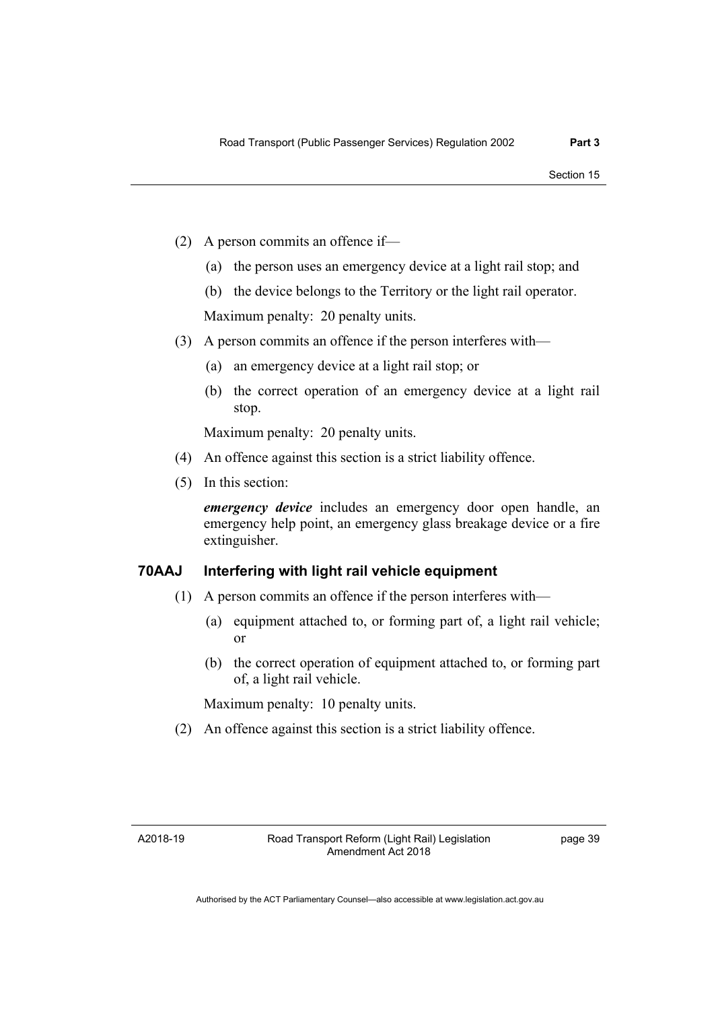- (2) A person commits an offence if—
	- (a) the person uses an emergency device at a light rail stop; and
	- (b) the device belongs to the Territory or the light rail operator.

Maximum penalty: 20 penalty units.

- (3) A person commits an offence if the person interferes with—
	- (a) an emergency device at a light rail stop; or
	- (b) the correct operation of an emergency device at a light rail stop.

Maximum penalty: 20 penalty units.

- (4) An offence against this section is a strict liability offence.
- (5) In this section:

*emergency device* includes an emergency door open handle, an emergency help point, an emergency glass breakage device or a fire extinguisher.

### **70AAJ Interfering with light rail vehicle equipment**

- (1) A person commits an offence if the person interferes with—
	- (a) equipment attached to, or forming part of, a light rail vehicle; or
	- (b) the correct operation of equipment attached to, or forming part of, a light rail vehicle.

Maximum penalty: 10 penalty units.

(2) An offence against this section is a strict liability offence.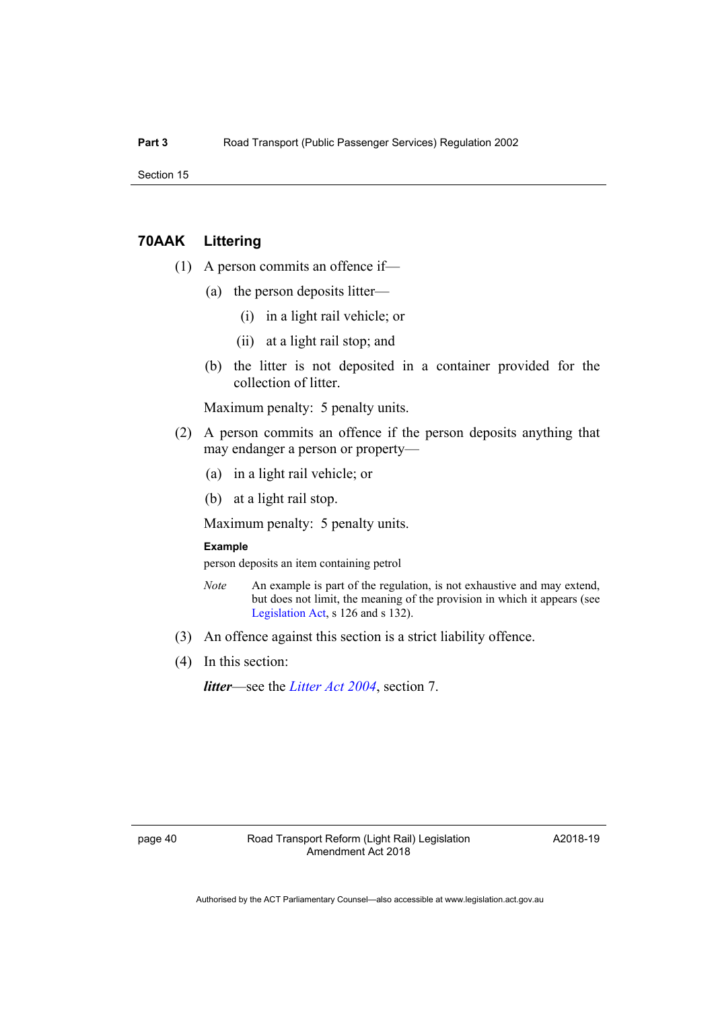### **70AAK Littering**

- (1) A person commits an offence if—
	- (a) the person deposits litter—
		- (i) in a light rail vehicle; or
		- (ii) at a light rail stop; and
	- (b) the litter is not deposited in a container provided for the collection of litter.

Maximum penalty: 5 penalty units.

- (2) A person commits an offence if the person deposits anything that may endanger a person or property—
	- (a) in a light rail vehicle; or
	- (b) at a light rail stop.

Maximum penalty: 5 penalty units.

#### **Example**

person deposits an item containing petrol

- *Note* An example is part of the regulation, is not exhaustive and may extend, but does not limit, the meaning of the provision in which it appears (see [Legislation Act,](http://www.legislation.act.gov.au/a/2001-14) s 126 and s 132).
- (3) An offence against this section is a strict liability offence.
- (4) In this section:

*litter*—see the *[Litter Act 2004](http://www.legislation.act.gov.au/a/2004-47)*, section 7.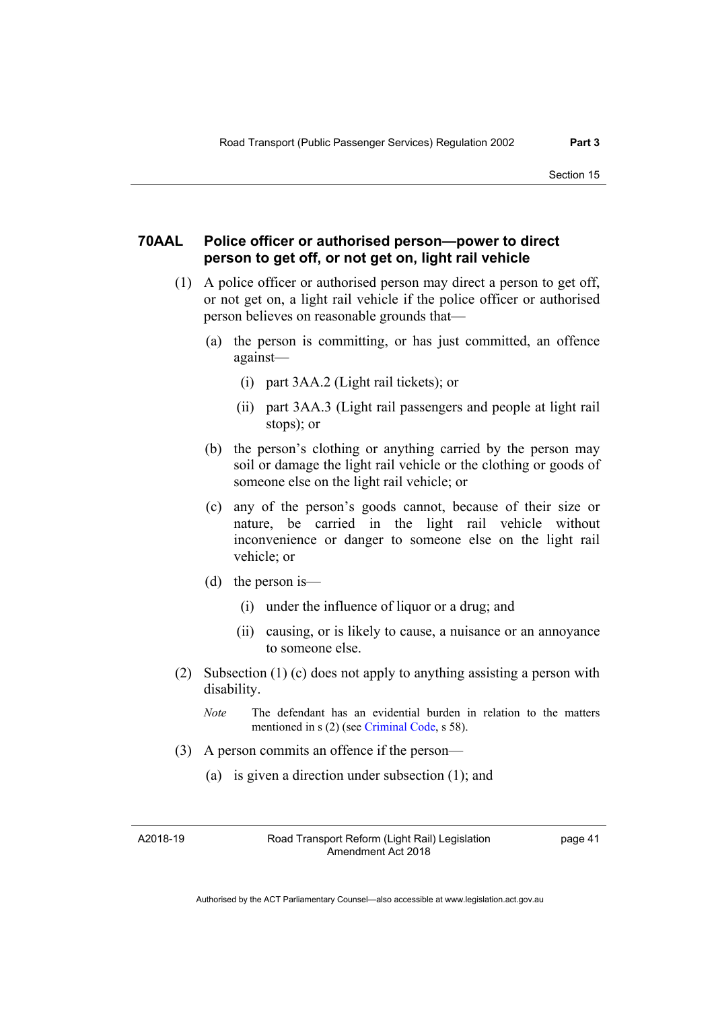### **70AAL Police officer or authorised person—power to direct person to get off, or not get on, light rail vehicle**

- (1) A police officer or authorised person may direct a person to get off, or not get on, a light rail vehicle if the police officer or authorised person believes on reasonable grounds that—
	- (a) the person is committing, or has just committed, an offence against—
		- (i) part 3AA.2 (Light rail tickets); or
		- (ii) part 3AA.3 (Light rail passengers and people at light rail stops); or
	- (b) the person's clothing or anything carried by the person may soil or damage the light rail vehicle or the clothing or goods of someone else on the light rail vehicle; or
	- (c) any of the person's goods cannot, because of their size or nature, be carried in the light rail vehicle without inconvenience or danger to someone else on the light rail vehicle; or
	- (d) the person is—
		- (i) under the influence of liquor or a drug; and
		- (ii) causing, or is likely to cause, a nuisance or an annoyance to someone else.
- (2) Subsection (1) (c) does not apply to anything assisting a person with disability.

*Note* The defendant has an evidential burden in relation to the matters mentioned in s (2) (see [Criminal Code](http://www.legislation.act.gov.au/a/2002-51), s 58).

- (3) A person commits an offence if the person—
	- (a) is given a direction under subsection (1); and

A2018-19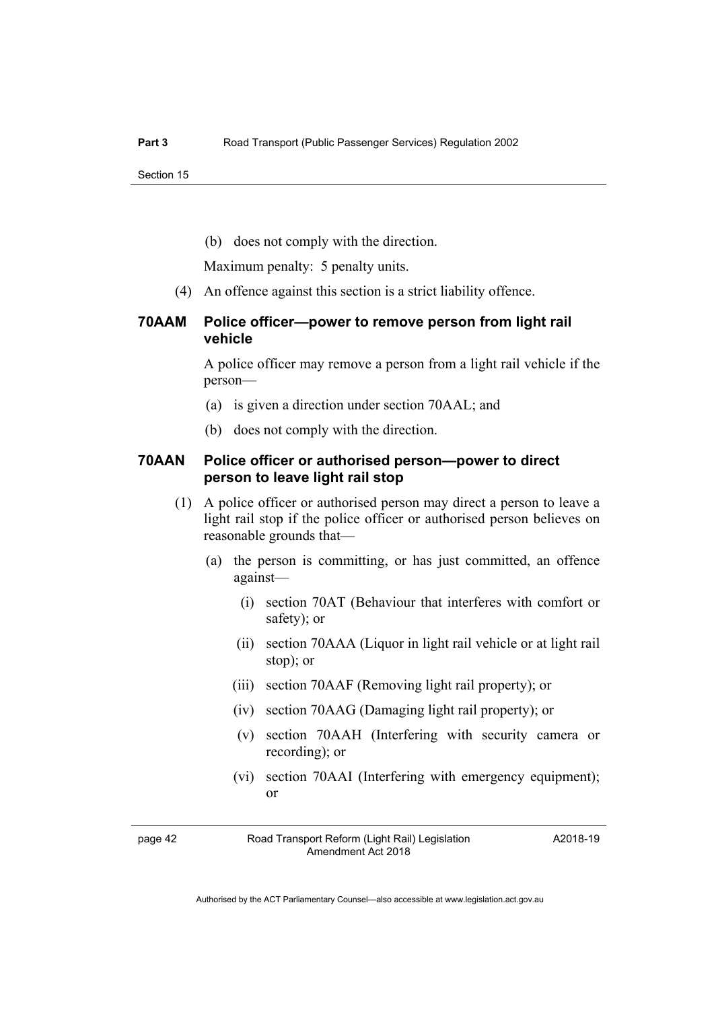(b) does not comply with the direction.

Maximum penalty: 5 penalty units.

(4) An offence against this section is a strict liability offence.

### **70AAM Police officer—power to remove person from light rail vehicle**

A police officer may remove a person from a light rail vehicle if the person—

- (a) is given a direction under section 70AAL; and
- (b) does not comply with the direction.

#### **70AAN Police officer or authorised person—power to direct person to leave light rail stop**

- (1) A police officer or authorised person may direct a person to leave a light rail stop if the police officer or authorised person believes on reasonable grounds that—
	- (a) the person is committing, or has just committed, an offence against—
		- (i) section 70AT (Behaviour that interferes with comfort or safety); or
		- (ii) section 70AAA (Liquor in light rail vehicle or at light rail stop); or
		- (iii) section 70AAF (Removing light rail property); or
		- (iv) section 70AAG (Damaging light rail property); or
		- (v) section 70AAH (Interfering with security camera or recording); or
		- (vi) section 70AAI (Interfering with emergency equipment); or

page 42 Road Transport Reform (Light Rail) Legislation Amendment Act 2018

A2018-19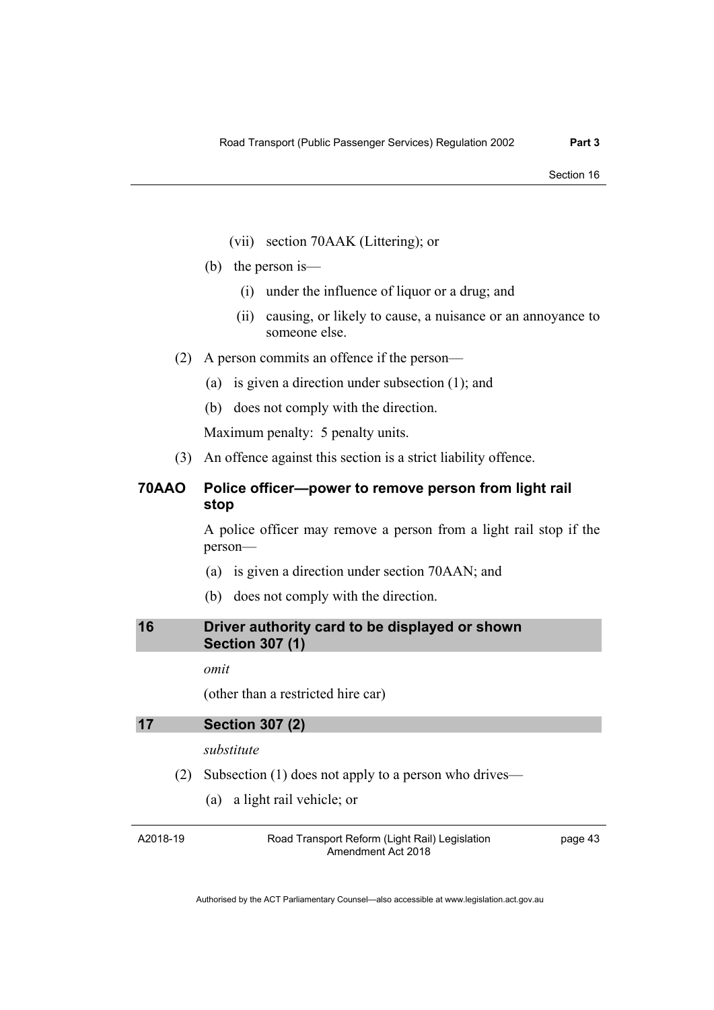- (vii) section 70AAK (Littering); or
- (b) the person is—
	- (i) under the influence of liquor or a drug; and
	- (ii) causing, or likely to cause, a nuisance or an annoyance to someone else.
- (2) A person commits an offence if the person—
	- (a) is given a direction under subsection (1); and
	- (b) does not comply with the direction.

Maximum penalty: 5 penalty units.

(3) An offence against this section is a strict liability offence.

### **70AAO Police officer—power to remove person from light rail stop**

A police officer may remove a person from a light rail stop if the person—

- (a) is given a direction under section 70AAN; and
- (b) does not comply with the direction.

#### <span id="page-46-0"></span>**16 Driver authority card to be displayed or shown Section 307 (1)**

*omit* 

(other than a restricted hire car)

#### <span id="page-46-1"></span>**17 Section 307 (2)**

#### *substitute*

- (2) Subsection (1) does not apply to a person who drives—
	- (a) a light rail vehicle; or

A2018-19

Road Transport Reform (Light Rail) Legislation Amendment Act 2018

page 43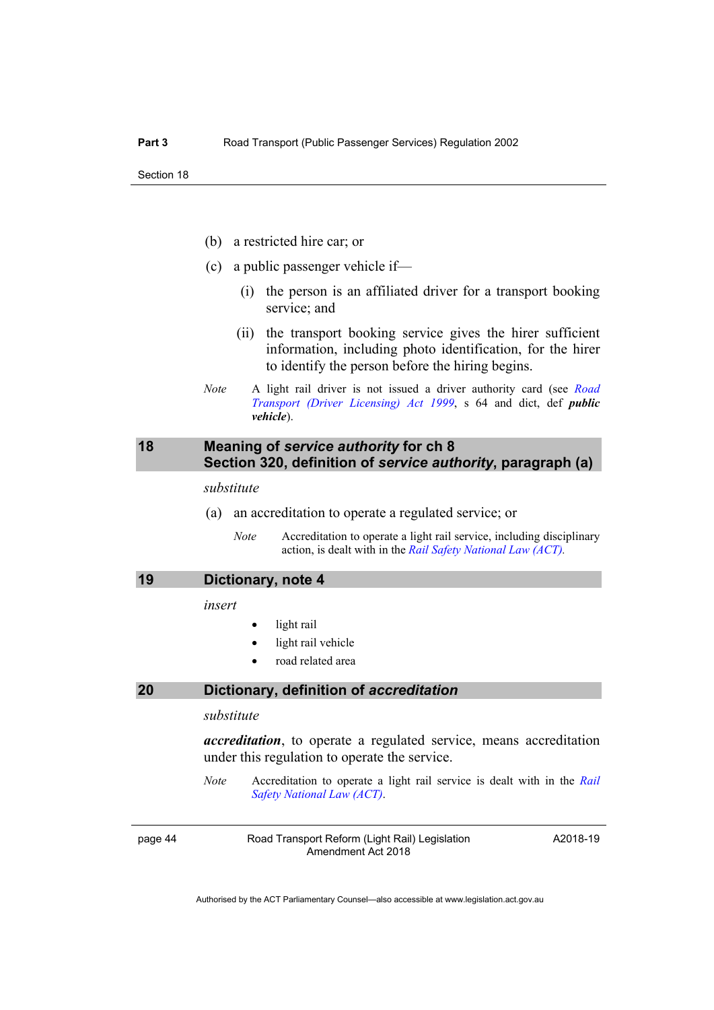- (b) a restricted hire car; or
- (c) a public passenger vehicle if—
	- (i) the person is an affiliated driver for a transport booking service; and
	- (ii) the transport booking service gives the hirer sufficient information, including photo identification, for the hirer to identify the person before the hiring begins.
- *Note* A light rail driver is not issued a driver authority card (see *[Road](http://www.legislation.act.gov.au/a/1999-78)  [Transport \(Driver Licensing\) Act 1999](http://www.legislation.act.gov.au/a/1999-78)*, s 64 and dict, def *public vehicle*).

#### <span id="page-47-0"></span>**18 Meaning of** *service authority* **for ch 8 Section 320, definition of** *service authority***, paragraph (a)**

*substitute* 

- (a) an accreditation to operate a regulated service; or
	- *Note* Accreditation to operate a light rail service, including disciplinary action, is dealt with in the *[Rail Safety National Law \(ACT\)](http://www.legislation.act.gov.au/a/2014-14/default.asp).*

<span id="page-47-1"></span>**19 Dictionary, note 4** 

*insert* 

- light rail
- light rail vehicle
- road related area

#### <span id="page-47-2"></span>**20 Dictionary, definition of** *accreditation*

#### *substitute*

*accreditation*, to operate a regulated service, means accreditation under this regulation to operate the service.

*Note* Accreditation to operate a light rail service is dealt with in the *[Rail](http://www.legislation.act.gov.au/a/2014-14/default.asp)  [Safety National Law \(ACT\)](http://www.legislation.act.gov.au/a/2014-14/default.asp)*.

page 44 Road Transport Reform (Light Rail) Legislation Amendment Act 2018

A2018-19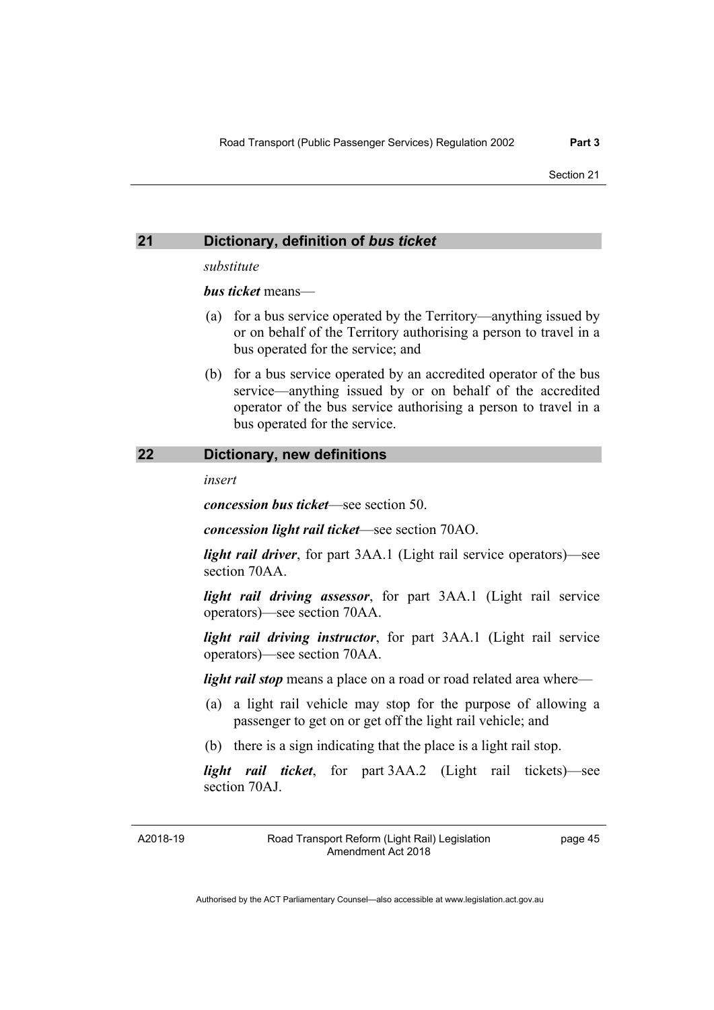#### <span id="page-48-0"></span>**21 Dictionary, definition of** *bus ticket*

*substitute* 

*bus ticket* means—

- (a) for a bus service operated by the Territory—anything issued by or on behalf of the Territory authorising a person to travel in a bus operated for the service; and
- (b) for a bus service operated by an accredited operator of the bus service—anything issued by or on behalf of the accredited operator of the bus service authorising a person to travel in a bus operated for the service.

#### <span id="page-48-1"></span>**22 Dictionary, new definitions**

*insert* 

*concession bus ticket*—see section 50.

*concession light rail ticket*—see section 70AO.

*light rail driver*, for part 3AA.1 (Light rail service operators)—see section 70AA.

*light rail driving assessor*, for part 3AA.1 (Light rail service operators)—see section 70AA.

*light rail driving instructor*, for part 3AA.1 (Light rail service operators)—see section 70AA.

*light rail stop* means a place on a road or road related area where—

- (a) a light rail vehicle may stop for the purpose of allowing a passenger to get on or get off the light rail vehicle; and
- (b) there is a sign indicating that the place is a light rail stop.

*light rail ticket*, for part 3AA.2 (Light rail tickets)—see section 70AJ.

A2018-19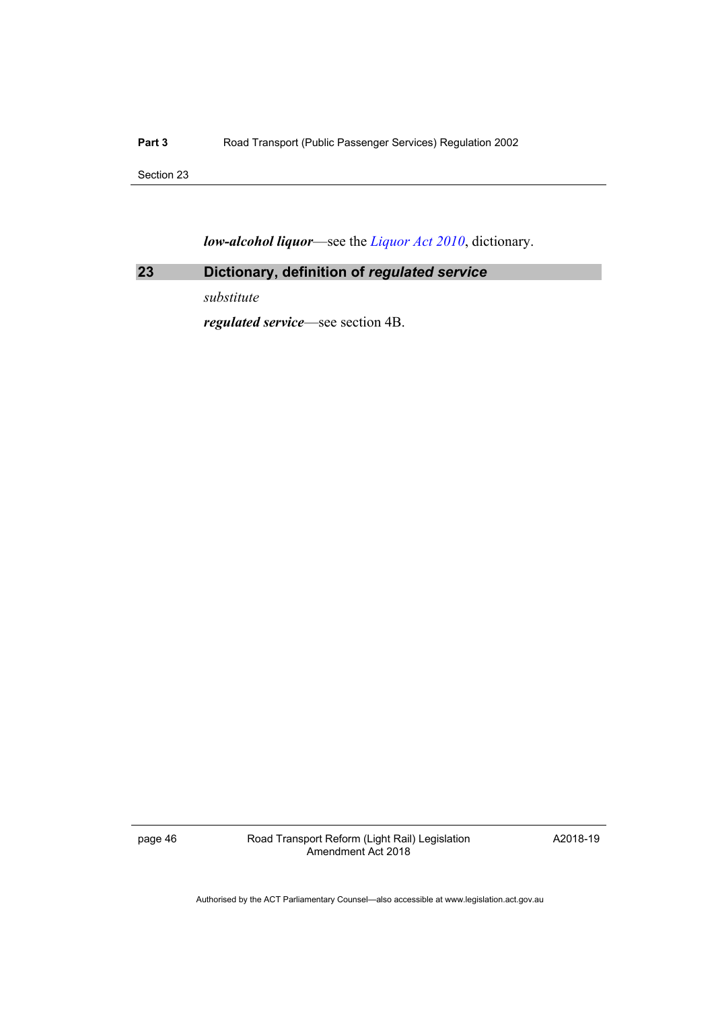Part 3 **Road Transport (Public Passenger Services) Regulation 2002** 

Section 23

*low-alcohol liquor*—see the *[Liquor Act 2010](http://www.legislation.act.gov.au/a/2010-35)*, dictionary.

## <span id="page-49-0"></span>**23 Dictionary, definition of** *regulated service*

*substitute* 

*regulated service*—see section 4B.

page 46 **Road Transport Reform (Light Rail) Legislation** Amendment Act 2018

A2018-19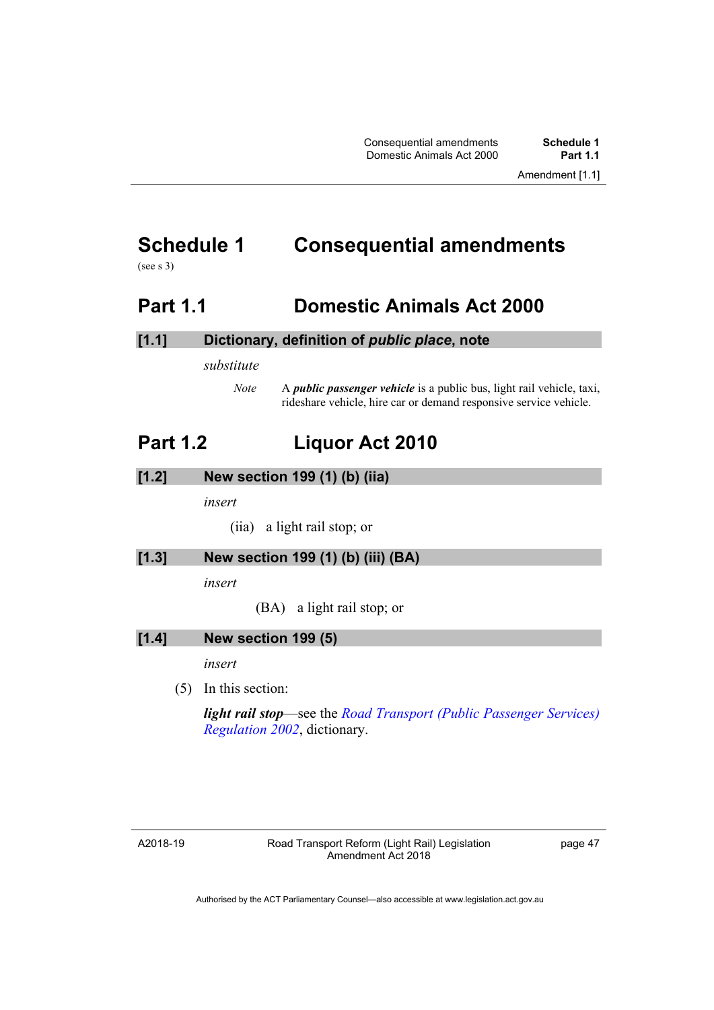Consequential amendments **Schedule 1** Domestic Animals Act 2000

# <span id="page-50-0"></span>**Schedule 1 Consequential amendments**

(see s 3)

## <span id="page-50-1"></span>**Part 1.1 Domestic Animals Act 2000**

#### **[1.1] Dictionary, definition of** *public place***, note**

*substitute* 

*Note* A *public passenger vehicle* is a public bus, light rail vehicle, taxi, rideshare vehicle, hire car or demand responsive service vehicle.

## <span id="page-50-2"></span>**Part 1.2 Liquor Act 2010**

#### **[1.2] New section 199 (1) (b) (iia)**

*insert* 

(iia) a light rail stop; or

#### **[1.3] New section 199 (1) (b) (iii) (BA)**

*insert* 

(BA) a light rail stop; or

### **[1.4] New section 199 (5)**

*insert* 

(5) In this section:

*light rail stop*—see the *[Road Transport \(Public Passenger Services\)](http://www.legislation.act.gov.au/sl/2002-3)  [Regulation 2002](http://www.legislation.act.gov.au/sl/2002-3)*, dictionary.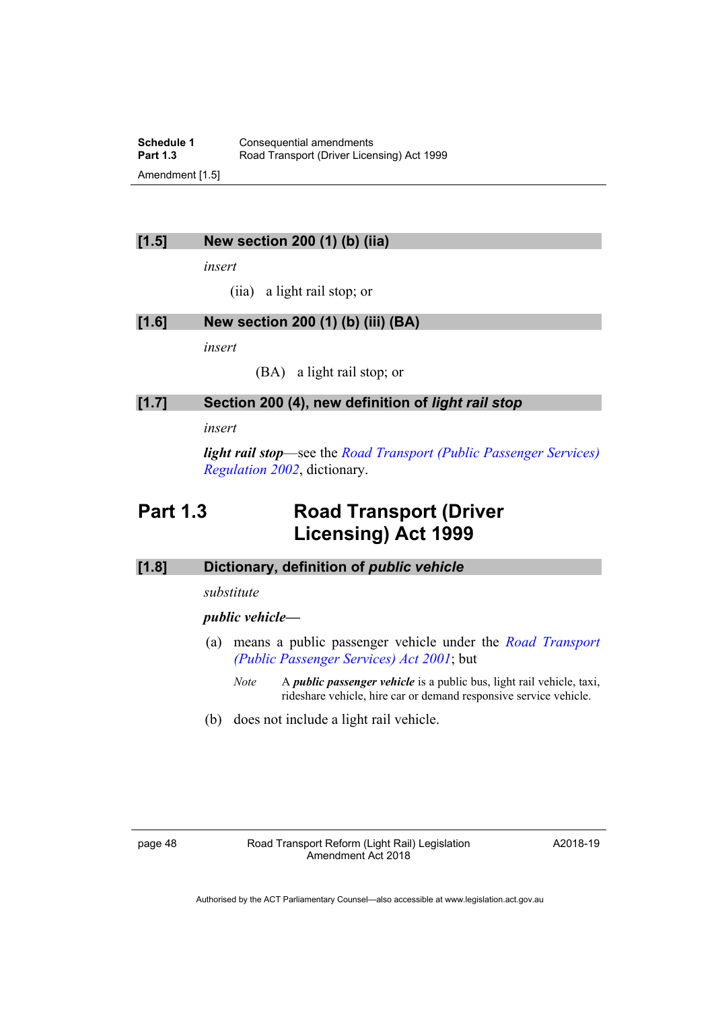### **[1.5] New section 200 (1) (b) (iia)**

*insert* 

(iia) a light rail stop; or

### **[1.6] New section 200 (1) (b) (iii) (BA)**

*insert* 

(BA) a light rail stop; or

### **[1.7] Section 200 (4), new definition of** *light rail stop*

*insert* 

*light rail stop*—see the *[Road Transport \(Public Passenger Services\)](http://www.legislation.act.gov.au/sl/2002-3)  [Regulation 2002](http://www.legislation.act.gov.au/sl/2002-3)*, dictionary.

## <span id="page-51-0"></span>**Part 1.3 Road Transport (Driver Licensing) Act 1999**

### **[1.8] Dictionary, definition of** *public vehicle*

#### *substitute*

#### *public vehicle—*

- (a) means a public passenger vehicle under the *[Road Transport](http://www.legislation.act.gov.au/a/2001-62)  [\(Public Passenger Services\) Act 2001](http://www.legislation.act.gov.au/a/2001-62)*; but
	- *Note* A *public passenger vehicle* is a public bus, light rail vehicle, taxi, rideshare vehicle, hire car or demand responsive service vehicle.
- (b) does not include a light rail vehicle.

A2018-19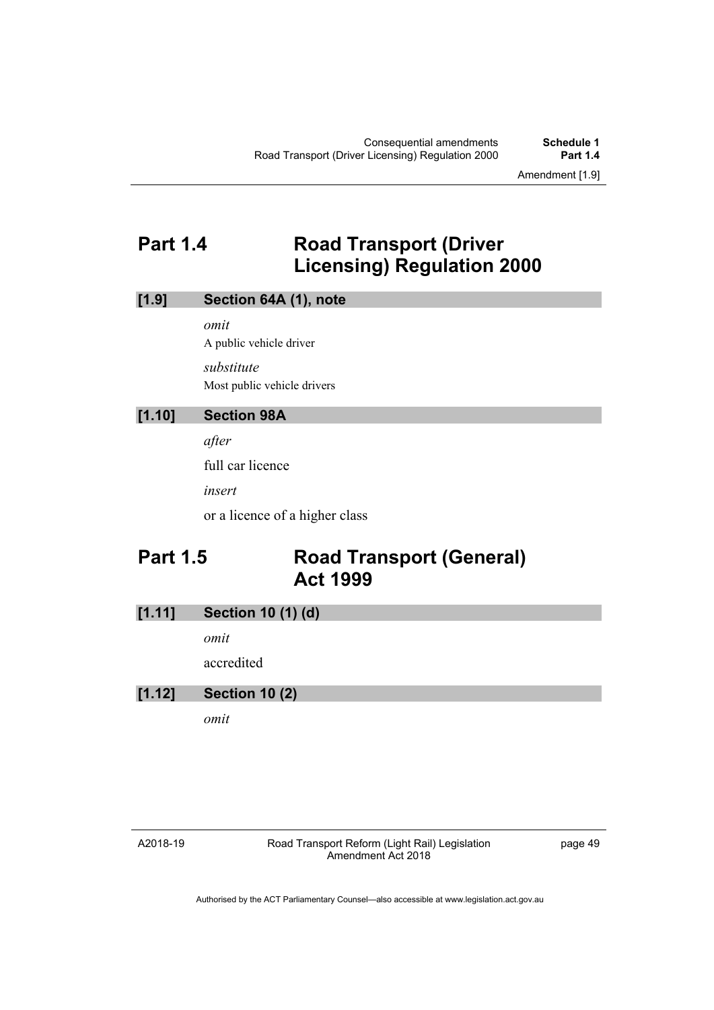Amendment [1.9]

## <span id="page-52-0"></span>**Part 1.4 Road Transport (Driver Licensing) Regulation 2000**

#### **[1.9] Section 64A (1), note**

*omit* 

A public vehicle driver *substitute*  Most public vehicle drivers

### **[1.10] Section 98A**

*after* 

full car licence

*insert* 

or a licence of a higher class

## <span id="page-52-1"></span>**Part 1.5 Road Transport (General) Act 1999**

### **[1.11] Section 10 (1) (d)**

*omit* 

accredited

### **[1.12] Section 10 (2)**

*omit* 

A2018-19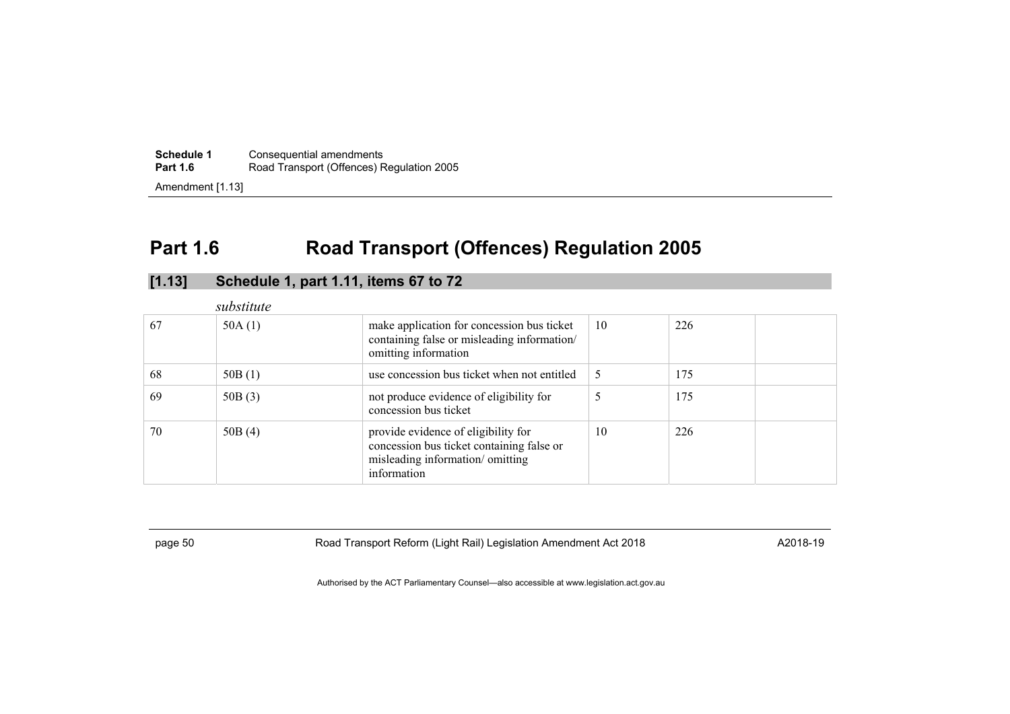| Schedule 1       | Consequential amendments                  |
|------------------|-------------------------------------------|
| <b>Part 1.6</b>  | Road Transport (Offences) Regulation 2005 |
| Amendment [1.13] |                                           |

# **Part 1.6 Road Transport (Offences) Regulation 2005**

|    | substitute |                                                                                                                                    |    |     |  |
|----|------------|------------------------------------------------------------------------------------------------------------------------------------|----|-----|--|
| 67 | 50A $(1)$  | make application for concession bus ticket<br>containing false or misleading information/<br>omitting information                  | 10 | 226 |  |
| 68 | 50B(1)     | use concession bus ticket when not entitled                                                                                        | 5  | 175 |  |
| 69 | 50B(3)     | not produce evidence of eligibility for<br>concession bus ticket                                                                   |    | 175 |  |
| 70 | 50B(4)     | provide evidence of eligibility for<br>concession bus ticket containing false or<br>misleading information/omitting<br>information | 10 | 226 |  |

## **[1.13] Schedule 1, part 1.11, items 67 to 72**

<span id="page-53-0"></span>

page 50 Road Transport Reform (Light Rail) Legislation Amendment Act 2018<br>
Race 50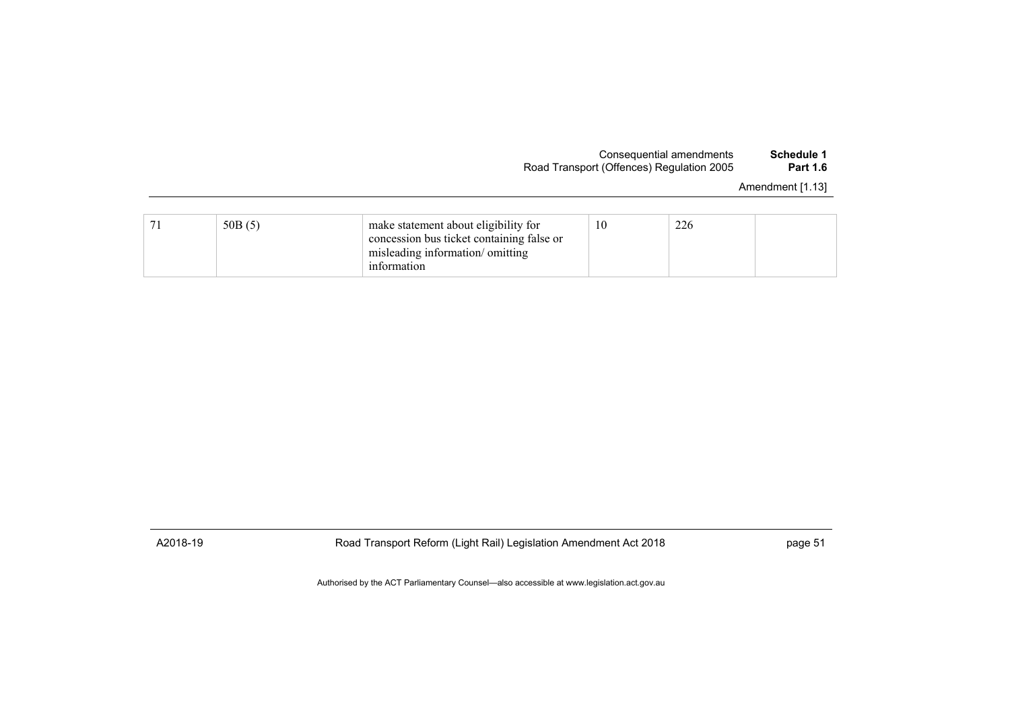| Schedule 1      | Consequential amendments                  |
|-----------------|-------------------------------------------|
| <b>Part 1.6</b> | Road Transport (Offences) Regulation 2005 |

Amendment [1.13]

| 50B(5) | make statement about eligibility for      | 10 | 226 |  |
|--------|-------------------------------------------|----|-----|--|
|        | concession bus ticket containing false or |    |     |  |
|        | misleading information/ omitting          |    |     |  |
|        | information                               |    |     |  |

A2018-19 Road Transport Reform (Light Rail) Legislation Amendment Act 2018 page 51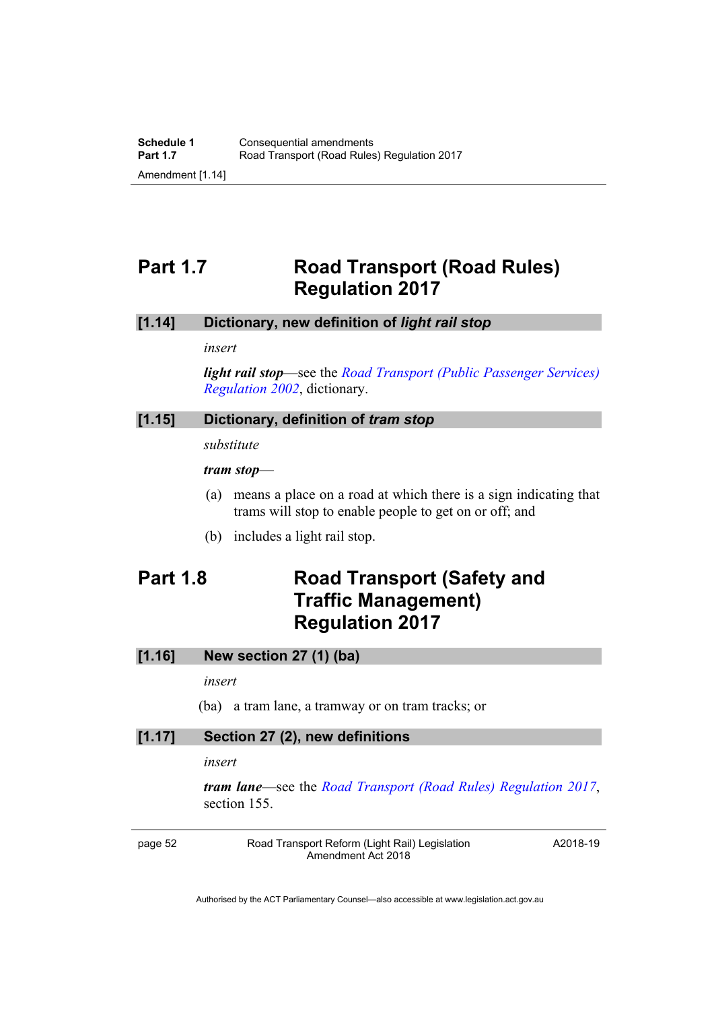## <span id="page-55-0"></span>**Part 1.7 Road Transport (Road Rules) Regulation 2017**

#### **[1.14] Dictionary, new definition of** *light rail stop*

#### *insert*

*light rail stop*—see the *[Road Transport \(Public Passenger Services\)](http://www.legislation.act.gov.au/sl/2002-3)  [Regulation 2002](http://www.legislation.act.gov.au/sl/2002-3)*, dictionary.

### **[1.15] Dictionary, definition of** *tram stop*

*substitute* 

*tram stop*—

- (a) means a place on a road at which there is a sign indicating that trams will stop to enable people to get on or off; and
- (b) includes a light rail stop.

## <span id="page-55-1"></span>**Part 1.8 Road Transport (Safety and Traffic Management) Regulation 2017**

#### **[1.16] New section 27 (1) (ba)**

#### *insert*

(ba) a tram lane, a tramway or on tram tracks; or

#### **[1.17] Section 27 (2), new definitions**

#### *insert*

*tram lane*—see the *[Road Transport \(Road Rules\) Regulation 2017](http://www.legislation.act.gov.au/sl/2017-43/default.asp)*, section 155.

page 52 Road Transport Reform (Light Rail) Legislation Amendment Act 2018

A2018-19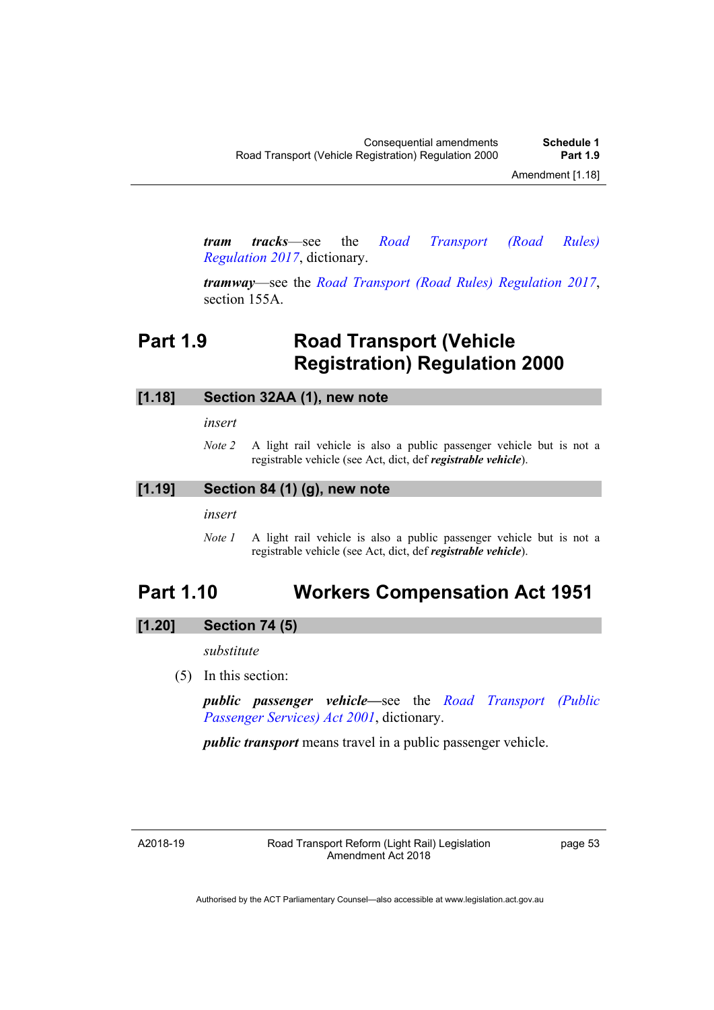*tram tracks*—see the *[Road Transport \(Road Rules\)](http://www.legislation.act.gov.au/sl/2017-43/default.asp)  [Regulation 2017](http://www.legislation.act.gov.au/sl/2017-43/default.asp)*, dictionary.

*tramway*—see the *[Road Transport \(Road Rules\) Regulation 2017](http://www.legislation.act.gov.au/sl/2017-43/default.asp)*, section 155A.

## <span id="page-56-0"></span>**Part 1.9 Road Transport (Vehicle Registration) Regulation 2000**

#### **[1.18] Section 32AA (1), new note**

*insert* 

*Note 2* A light rail vehicle is also a public passenger vehicle but is not a registrable vehicle (see Act, dict, def *registrable vehicle*).

#### **[1.19] Section 84 (1) (g), new note**

*insert* 

*Note 1* A light rail vehicle is also a public passenger vehicle but is not a registrable vehicle (see Act, dict, def *registrable vehicle*).

## <span id="page-56-1"></span>**Part 1.10 Workers Compensation Act 1951**

#### **[1.20] Section 74 (5)**

*substitute* 

(5) In this section:

*public passenger vehicle—*see the *[Road Transport \(Public](http://www.legislation.act.gov.au/a/2001-62)  [Passenger Services\) Act 2001](http://www.legislation.act.gov.au/a/2001-62)*, dictionary.

*public transport* means travel in a public passenger vehicle.

A2018-19

Road Transport Reform (Light Rail) Legislation Amendment Act 2018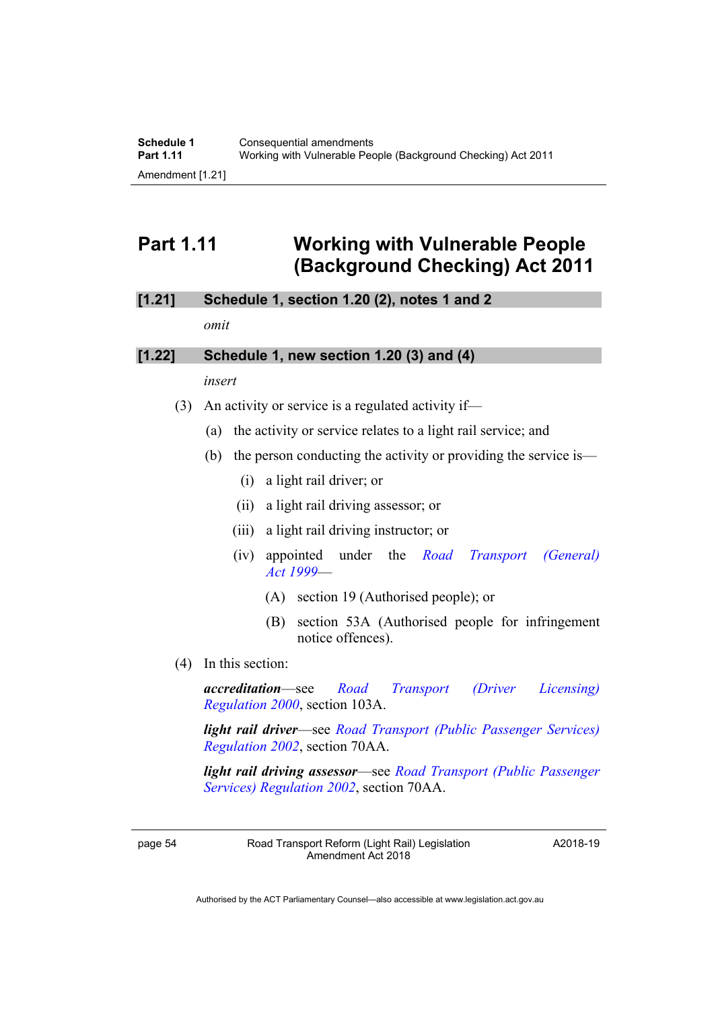## <span id="page-57-0"></span>**Part 1.11 Working with Vulnerable People (Background Checking) Act 2011**

#### **[1.21] Schedule 1, section 1.20 (2), notes 1 and 2**

*omit* 

#### **[1.22] Schedule 1, new section 1.20 (3) and (4)**

*insert* 

- (3) An activity or service is a regulated activity if—
	- (a) the activity or service relates to a light rail service; and
	- (b) the person conducting the activity or providing the service is—
		- (i) a light rail driver; or
		- (ii) a light rail driving assessor; or
		- (iii) a light rail driving instructor; or
		- (iv) appointed under the *[Road Transport \(General\)](http://www.legislation.act.gov.au/a/1999-77)  [Act 1999](http://www.legislation.act.gov.au/a/1999-77)*—
			- (A) section 19 (Authorised people); or
			- (B) section 53A (Authorised people for infringement notice offences).
- (4) In this section:

*accreditation*—see *[Road Transport \(Driver Licensing\)](http://www.legislation.act.gov.au/sl/2000-14)  [Regulation 2000](http://www.legislation.act.gov.au/sl/2000-14)*, section 103A.

*light rail driver*—see *[Road Transport \(Public Passenger Services\)](http://www.legislation.act.gov.au/sl/2002-3)  [Regulation 2002](http://www.legislation.act.gov.au/sl/2002-3)*, section 70AA.

*light rail driving assessor*—see *[Road Transport \(Public Passenger](http://www.legislation.act.gov.au/sl/2002-3)  [Services\) Regulation 2002](http://www.legislation.act.gov.au/sl/2002-3)*, section 70AA.

page 54 Road Transport Reform (Light Rail) Legislation Amendment Act 2018

A2018-19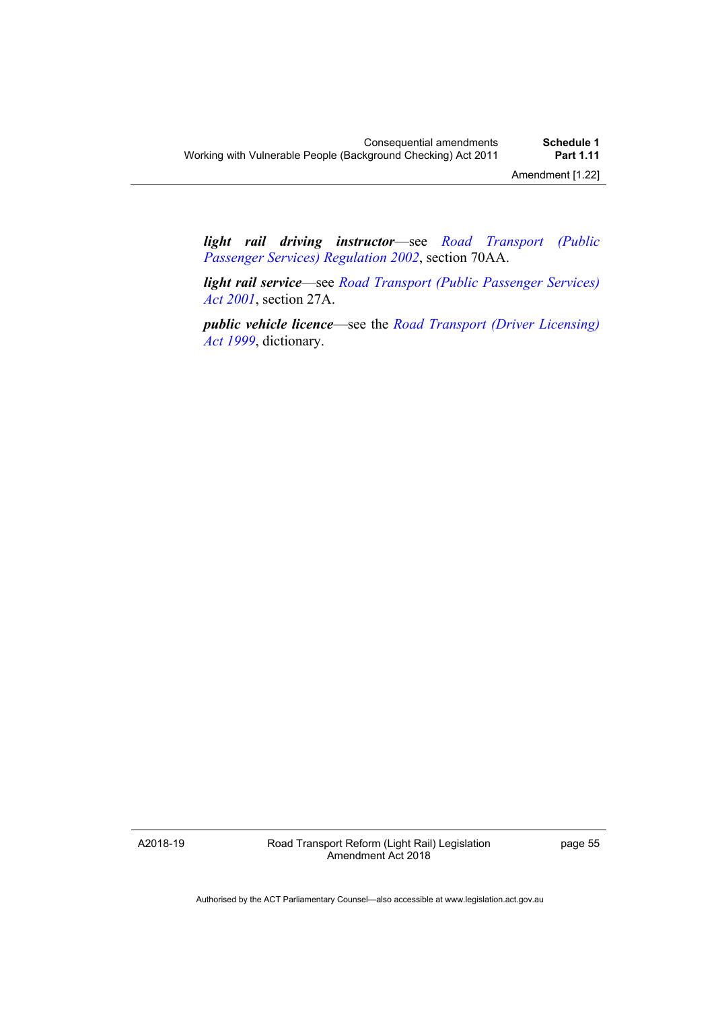*light rail driving instructor*—see *[Road Transport \(Public](http://www.legislation.act.gov.au/sl/2002-3)  [Passenger Services\) Regulation 2002](http://www.legislation.act.gov.au/sl/2002-3)*, section 70AA.

*light rail service*—see *[Road Transport \(Public Passenger Services\)](http://www.legislation.act.gov.au/a/2001-62)  [Act 2001](http://www.legislation.act.gov.au/a/2001-62)*, section 27A.

*public vehicle licence*—see the *[Road Transport \(Driver Licensing\)](http://www.legislation.act.gov.au/a/1999-78)  [Act 1999](http://www.legislation.act.gov.au/a/1999-78)*, dictionary.

A2018-19

Road Transport Reform (Light Rail) Legislation Amendment Act 2018

page 55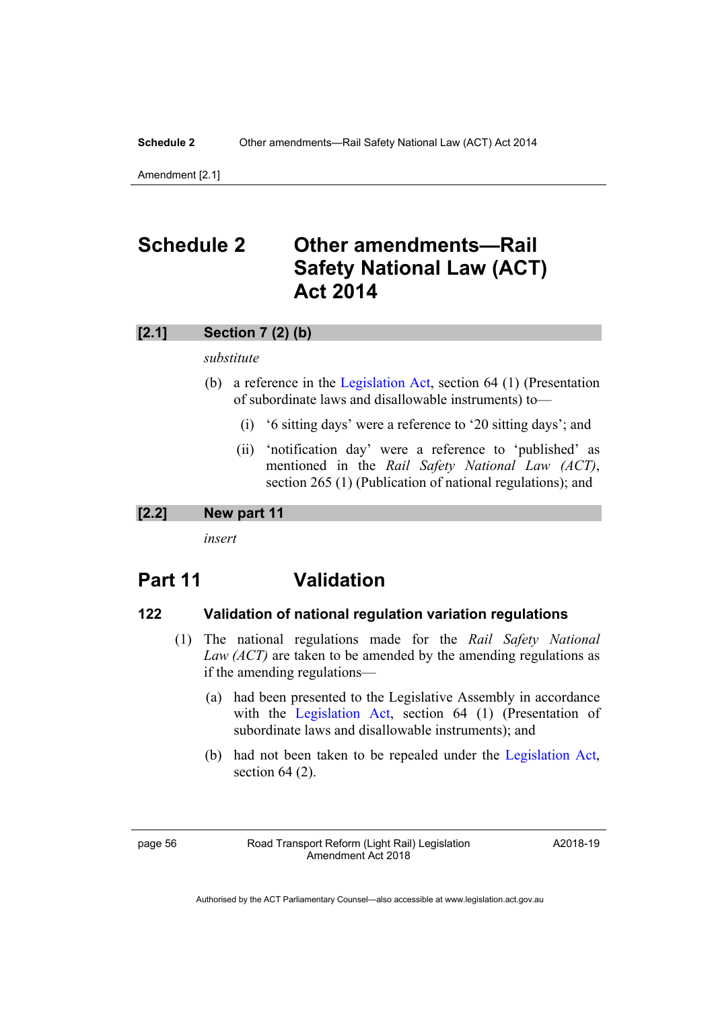Amendment [2.1]

## <span id="page-59-0"></span>**Schedule 2 Other amendments—Rail Safety National Law (ACT) Act 2014**

#### **[2.1] Section 7 (2) (b)**

*substitute* 

- (b) a reference in the [Legislation Act](http://www.legislation.act.gov.au/a/2001-14), section 64 (1) (Presentation of subordinate laws and disallowable instruments) to—
	- (i) '6 sitting days' were a reference to '20 sitting days'; and
	- (ii) 'notification day' were a reference to 'published' as mentioned in the *Rail Safety National Law (ACT)*, section 265 (1) (Publication of national regulations); and

#### **[2.2] New part 11**

*insert* 

## **Part 11 Validation**

#### **122 Validation of national regulation variation regulations**

- (1) The national regulations made for the *Rail Safety National Law (ACT)* are taken to be amended by the amending regulations as if the amending regulations—
	- (a) had been presented to the Legislative Assembly in accordance with the [Legislation Act](http://www.legislation.act.gov.au/a/2001-14), section 64 (1) (Presentation of subordinate laws and disallowable instruments); and
	- (b) had not been taken to be repealed under the [Legislation Act](http://www.legislation.act.gov.au/a/2001-14), section 64 (2).

page 56 Road Transport Reform (Light Rail) Legislation Amendment Act 2018

A2018-19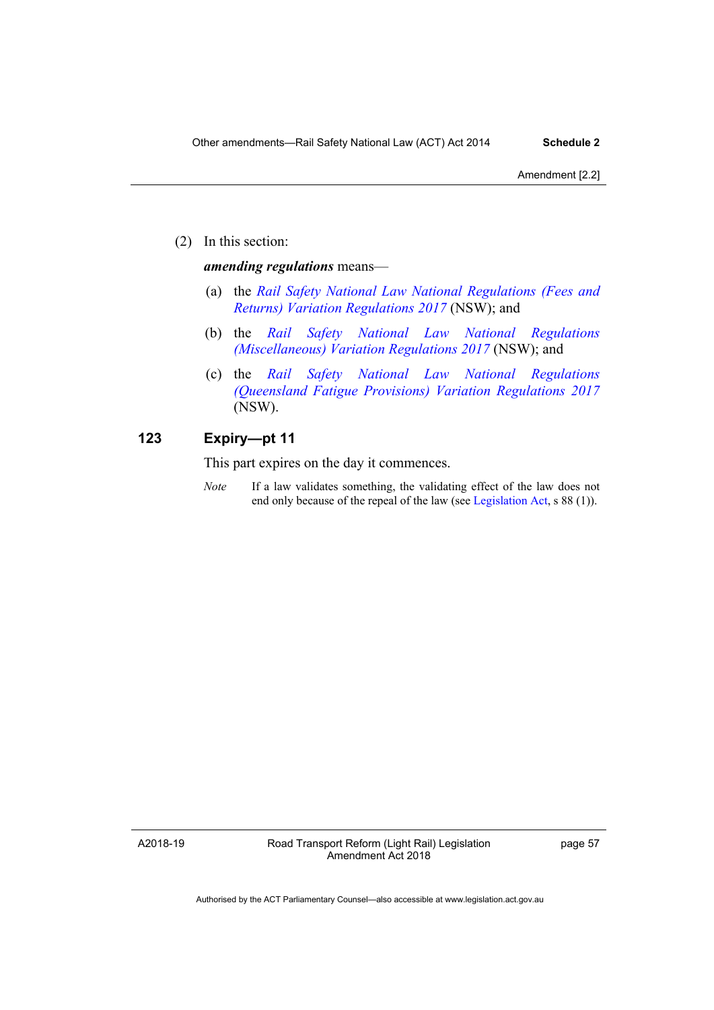(2) In this section:

#### *amending regulations* means—

- (a) the *[Rail Safety National Law National Regulations \(Fees and](https://www.legislation.nsw.gov.au/#/browse/asMade/regulations/R)  [Returns\) Variation Regulations 2017](https://www.legislation.nsw.gov.au/#/browse/asMade/regulations/R)* (NSW); and
- (b) the *[Rail Safety National Law National Regulations](https://www.legislation.nsw.gov.au/#/browse/asMade/regulations/R)  [\(Miscellaneous\) Variation Regulations 2017](https://www.legislation.nsw.gov.au/#/browse/asMade/regulations/R)* (NSW); and
- (c) the *[Rail Safety National Law National Regulations](https://www.legislation.nsw.gov.au/#/browse/asMade/regulations/R)  [\(Queensland Fatigue Provisions\) Variation Regulations 2017](https://www.legislation.nsw.gov.au/#/browse/asMade/regulations/R)* (NSW).

### **123 Expiry—pt 11**

This part expires on the day it commences.

*Note* If a law validates something, the validating effect of the law does not end only because of the repeal of the law (see [Legislation Act,](http://www.legislation.act.gov.au/a/2001-14) s 88 (1)).

A2018-19

Road Transport Reform (Light Rail) Legislation Amendment Act 2018